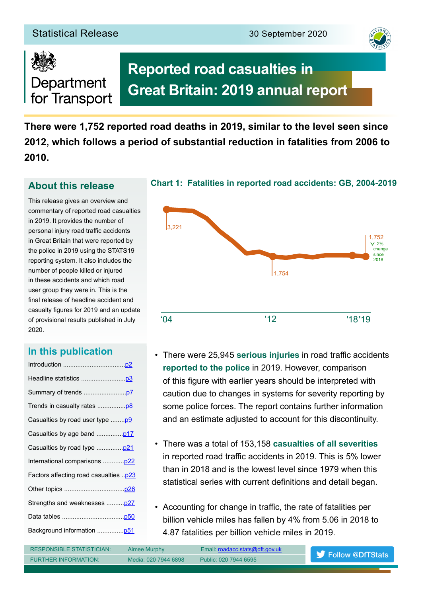## Statistical Release 30 September 2020



# Department for Transport

# **Reported road casualties in Great Britain: 2019 annual report**

**There were 1,752 reported road deaths in 2019, similar to the level seen since 2012, which follows a period of substantial reduction in fatalities from 2006 to 2010.**

## **About this release**

This release gives an overview and commentary of reported road casualties in 2019. It provides the number of personal injury road traffic accidents in Great Britain that were reported by the police in 2019 using the STATS19 reporting system. It also includes the number of people killed or injured in these accidents and which road user group they were in. This is the final release of headline accident and casualty fgures for 2019 and an update of provisional results published in July 2020.

## **In this publication**

| Casualties by road user type  p9              |
|-----------------------------------------------|
|                                               |
|                                               |
| International comparisons  p22                |
| <u> Factors affecting road casualties p23</u> |
|                                               |
| Strengths and weaknesses  p27                 |
|                                               |
|                                               |
|                                               |



**Chart 1: Fatalities in reported road accidents: GB, 2004-2019**

- There were 25,945 serious injuries in road traffic accidents **reported to the police** in 2019. However, comparison of this fgure with earlier years should be interpreted with caution due to changes in systems for severity reporting by some police forces. The report contains further information and an estimate adjusted to account for this discontinuity.
- There was a total of 153,158 **casualties of all severities** in reported road traffic accidents in 2019. This is 5% lower than in 2018 and is the lowest level since 1979 when this statistical series with current defnitions and detail began.
- Accounting for change in traffic, the rate of fatalities per billion vehicle miles has fallen by 4% from 5.06 in 2018 to 4.87 fatalities per billion vehicle miles in 2019.

RESPONSIBLE STATISTICIAN: Aimee Murphy Email: [roadacc.stats@dft.gov.uk](mailto:roadacc.stats%40dft.gov.uk%20?subject=) FURTHER INFORMATION: Media: 020 7944 6898 Public: 020 7944 6595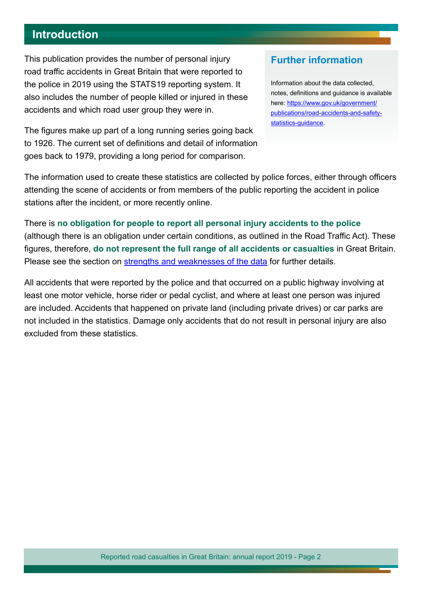## <span id="page-1-0"></span>**Introduction**

This publication provides the number of personal injury road traffic accidents in Great Britain that were reported to the police in 2019 using the STATS19 reporting system. It also includes the number of people killed or injured in these accidents and which road user group they were in.

The figures make up part of a long running series going back to 1926. The current set of defnitions and detail of information goes back to 1979, providing a long period for comparison.

## **Further information**

Information about the data collected, notes, defnitions and guidance is available here: [https://www.gov.uk/government/](https://www.gov.uk/government/publications/road-accidents-and-safety-statistics-guidance) [publications/road-accidents-and-safety](https://www.gov.uk/government/publications/road-accidents-and-safety-statistics-guidance)[statistics-guidance](https://www.gov.uk/government/publications/road-accidents-and-safety-statistics-guidance).

The information used to create these statistics are collected by police forces, either through officers attending the scene of accidents or from members of the public reporting the accident in police stations after the incident, or more recently online.

There is **no obligation for people to report all personal injury accidents to the police** (although there is an obligation under certain conditions, as outlined in the Road Traffic Act). These fgures, therefore, **do not represent the full range of all accidents or casualties** in Great Britain. Please see the section on [strengths and weaknesses of the data](#page-26-0) for further details.

All accidents that were reported by the police and that occurred on a public highway involving at least one motor vehicle, horse rider or pedal cyclist, and where at least one person was injured are included. Accidents that happened on private land (including private drives) or car parks are not included in the statistics. Damage only accidents that do not result in personal injury are also excluded from these statistics.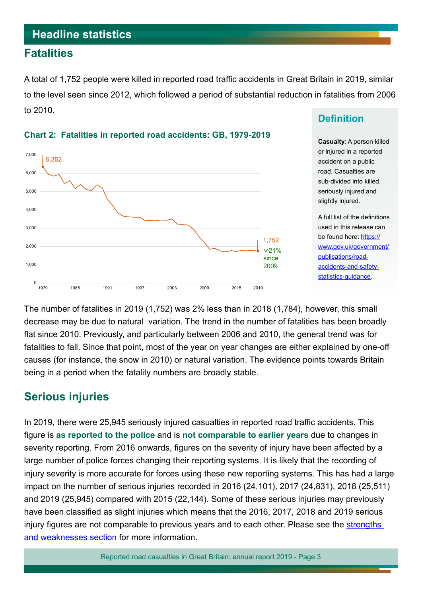## <span id="page-2-0"></span>**Headline statistics**

## **Fatalities**

A total of 1,752 people were killed in reported road traffic accidents in Great Britain in 2019, similar to the level seen since 2012, which followed a period of substantial reduction in fatalities from 2006 to 2010.



#### **Chart 2: Fatalities in reported road accidents: GB, 1979-2019**

## **Definition**

**Casualty**: A person killed or injured in a reported accident on a public road. Casualties are sub-divided into killed, seriously injured and slightly injured.

A full list of the defnitions used in this release can be found here: [https://](https://www.gov.uk/government/publications/road-accidents-and-safety-statistics-guidance) [www.gov.uk/government/](https://www.gov.uk/government/publications/road-accidents-and-safety-statistics-guidance) [publications/road](https://www.gov.uk/government/publications/road-accidents-and-safety-statistics-guidance)[accidents-and-safety](https://www.gov.uk/government/publications/road-accidents-and-safety-statistics-guidance)[statistics-guidance.](https://www.gov.uk/government/publications/road-accidents-and-safety-statistics-guidance)

The number of fatalities in 2019 (1,752) was 2% less than in 2018 (1,784), however, this small decrease may be due to natural variation. The trend in the number of fatalities has been broadly flat since 2010. Previously, and particularly between 2006 and 2010, the general trend was for fatalities to fall. Since that point, most of the year on year changes are either explained by one-off causes (for instance, the snow in 2010) or natural variation. The evidence points towards Britain being in a period when the fatality numbers are broadly stable.

## **Serious injuries**

In 2019, there were 25,945 seriously injured casualties in reported road traffic accidents. This fgure is **as reported to the police** and is **not comparable to earlier years** due to changes in severity reporting. From 2016 onwards, figures on the severity of injury have been affected by a large number of police forces changing their reporting systems. It is likely that the recording of injury severity is more accurate for forces using these new reporting systems. This has had a large impact on the number of serious injuries recorded in 2016 (24,101), 2017 (24,831), 2018 (25,511) and 2019 (25,945) compared with 2015 (22,144). Some of these serious injuries may previously have been classifed as slight injuries which means that the 2016, 2017, 2018 and 2019 serious injury figures are not comparable to previous years and to each other. Please see the strengths [and weaknesses section](#page-26-0) for more information.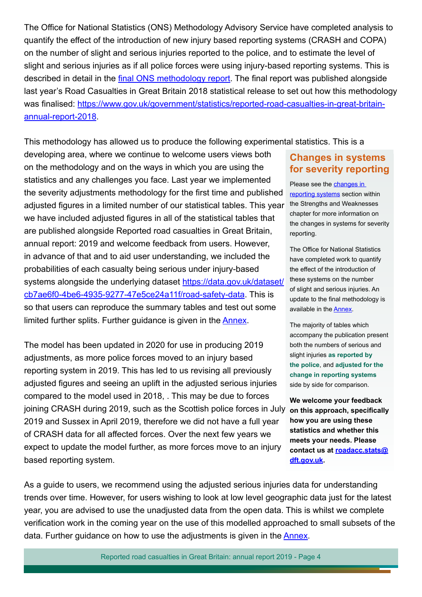The Office for National Statistics (ONS) Methodology Advisory Service have completed analysis to quantify the efect of the introduction of new injury based reporting systems (CRASH and COPA) on the number of slight and serious injuries reported to the police, and to estimate the level of slight and serious injuries as if all police forces were using injury-based reporting systems. This is described in detail in the final ONS methodology report. The final report was published alongside last year's Road Casualties in Great Britain 2018 statistical release to set out how this methodology was finalised: [https://www.gov.uk/government/statistics/reported-road-casualties-in-great-britain](https://www.gov.uk/government/statistics/reported-road-casualties-in-great-britain-annual-report-2018)[annual-report-2018](https://www.gov.uk/government/statistics/reported-road-casualties-in-great-britain-annual-report-2018).

This methodology has allowed us to produce the following experimental statistics. This is a

developing area, where we continue to welcome users views both on the methodology and on the ways in which you are using the statistics and any challenges you face. Last year we implemented the severity adjustments methodology for the frst time and published adjusted figures in a limited number of our statistical tables. This year we have included adjusted figures in all of the statistical tables that are published alongside Reported road casualties in Great Britain, annual report: 2019 and welcome feedback from users. However, in advance of that and to aid user understanding, we included the probabilities of each casualty being serious under injury-based systems alongside the underlying dataset [https://data.gov.uk/dataset/](https://data.gov.uk/dataset/cb7ae6f0-4be6-4935-9277-47e5ce24a11f/road-safety-data) [cb7ae6f0-4be6-4935-9277-47e5ce24a11f/road-safety-data](https://data.gov.uk/dataset/cb7ae6f0-4be6-4935-9277-47e5ce24a11f/road-safety-data). This is so that users can reproduce the summary tables and test out some limited further splits. Further guidance is given in the **Annex**.

The model has been updated in 2020 for use in producing 2019 adjustments, as more police forces moved to an injury based reporting system in 2019. This has led to us revising all previously adjusted fgures and seeing an uplift in the adjusted serious injuries compared to the model used in 2018, . This may be due to forces joining CRASH during 2019, such as the Scottish police forces in July 2019 and Sussex in April 2019, therefore we did not have a full year of CRASH data for all afected forces. Over the next few years we expect to update the model further, as more forces move to an injury based reporting system.

## **Changes in systems for severity reporting**

Please see the [changes in](#page-37-0)  [reporting systems](#page-37-0) section within the Strengths and Weaknesses chapter for more information on the changes in systems for severity reporting.

The Office for National Statistics have completed work to quantify the efect of the introduction of these systems on the number of slight and serious injuries. An update to the final methodology is available in the [Annex](https://www.gov.uk/government/statistics/reported-road-casualties-in-great-britain-annual-report-2018).

The majority of tables which accompany the publication present both the numbers of serious and slight injuries **as reported by the police**, and **adjusted for the change in reporting systems** side by side for comparison.

**We welcome your feedback on this approach, specifcally how you are using these statistics and whether this meets your needs. Please contact us at [roadacc.stats@](mailto:roadacc.stats%40dft.gov.uk?subject=) [dft.gov.uk.](mailto:roadacc.stats%40dft.gov.uk?subject=)**

As a guide to users, we recommend using the adjusted serious injuries data for understanding trends over time. However, for users wishing to look at low level geographic data just for the latest year, you are advised to use the unadjusted data from the open data. This is whilst we complete verifcation work in the coming year on the use of this modelled approached to small subsets of the data. Further guidance on how to use the adjustments is given in the [Annex](https://www.gov.uk/government/statistics/reported-road-casualties-in-great-britain-annual-report-2018).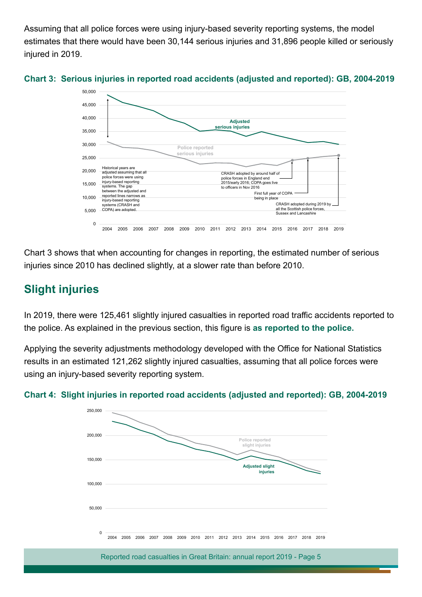Assuming that all police forces were using injury-based severity reporting systems, the model estimates that there would have been 30,144 serious injuries and 31,896 people killed or seriously injured in 2019.





Chart 3 shows that when accounting for changes in reporting, the estimated number of serious injuries since 2010 has declined slightly, at a slower rate than before 2010.

# **Slight injuries**

In 2019, there were 125,461 slightly injured casualties in reported road traffic accidents reported to the police. As explained in the previous section, this fgure is **as reported to the police.**

Applying the severity adjustments methodology developed with the Office for National Statistics results in an estimated 121,262 slightly injured casualties, assuming that all police forces were using an injury-based severity reporting system.



#### **Chart 4: Slight injuries in reported road accidents (adjusted and reported): GB, 2004-2019**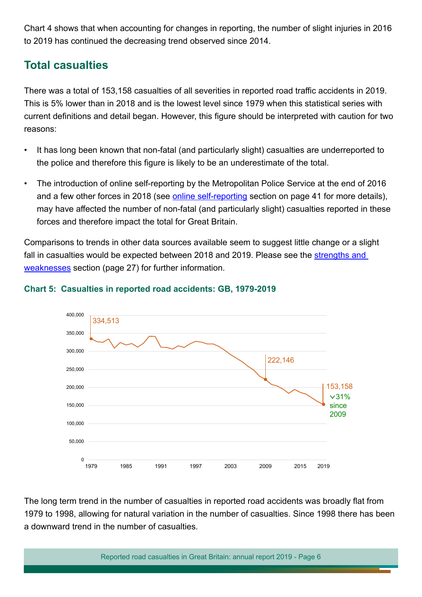Chart 4 shows that when accounting for changes in reporting, the number of slight injuries in 2016 to 2019 has continued the decreasing trend observed since 2014.

# **Total casualties**

There was a total of 153,158 casualties of all severities in reported road traffic accidents in 2019. This is 5% lower than in 2018 and is the lowest level since 1979 when this statistical series with current defnitions and detail began. However, this fgure should be interpreted with caution for two reasons:

- It has long been known that non-fatal (and particularly slight) casualties are underreported to the police and therefore this figure is likely to be an underestimate of the total.
- The introduction of online self-reporting by the Metropolitan Police Service at the end of 2016 and a few other forces in 2018 (see **online self-reporting** section on page 41 for more details), may have afected the number of non-fatal (and particularly slight) casualties reported in these forces and therefore impact the total for Great Britain.

Comparisons to trends in other data sources available seem to suggest little change or a slight fall in casualties would be expected between 2018 and 2019. Please see the strengths and [weaknesses](#page-26-0) section (page 27) for further information.



#### **Chart 5: Casualties in reported road accidents: GB, 1979-2019**

The long term trend in the number of casualties in reported road accidents was broadly flat from 1979 to 1998, allowing for natural variation in the number of casualties. Since 1998 there has been a downward trend in the number of casualties.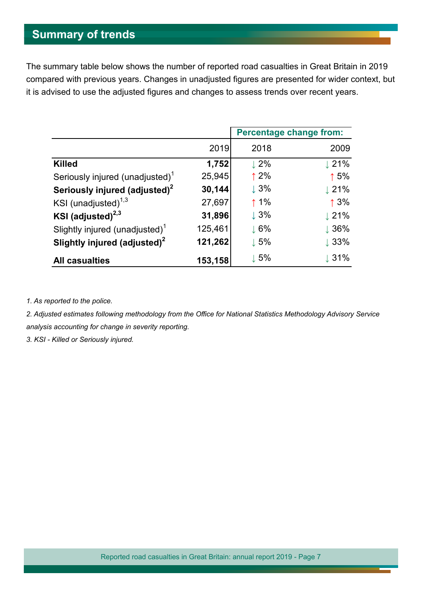# <span id="page-6-0"></span>**Summary of trends**

The summary table below shows the number of reported road casualties in Great Britain in 2019 compared with previous years. Changes in unadjusted fgures are presented for wider context, but it is advised to use the adjusted figures and changes to assess trends over recent years.

|                                             |         | <b>Percentage change from:</b> |                  |
|---------------------------------------------|---------|--------------------------------|------------------|
|                                             | 2019    | 2018                           | 2009             |
| <b>Killed</b>                               | 1,752   | $\perp$ 2%                     | $\downarrow$ 21% |
| Seriously injured (unadjusted) <sup>1</sup> | 25,945  | $\uparrow$ 2%                  | $\uparrow$ 5%    |
| Seriously injured (adjusted) <sup>2</sup>   | 30,144  | $\downarrow$ 3%                | $\downarrow$ 21% |
| KSI (unadjusted) $1,3$                      | 27,697  | $\uparrow$ 1%                  | $\uparrow$ 3%    |
| KSI (adjusted) $^{2,3}$                     | 31,896  | $\downarrow$ 3%                | $\downarrow$ 21% |
| Slightly injured (unadjusted) $1$           | 125,461 | $\downarrow$ 6%                | $\downarrow$ 36% |
| Slightly injured (adjusted) <sup>2</sup>    | 121,262 | $\downarrow$ 5%                | $\downarrow$ 33% |
| <b>All casualties</b>                       | 153,158 | $\downarrow$ 5%                | $\downarrow$ 31% |

*1. As reported to the police.*

2. Adjusted estimates following methodology from the Office for National Statistics Methodology Advisory Service *analysis accounting for change in severity reporting.*

*3. KSI - Killed or Seriously injured.*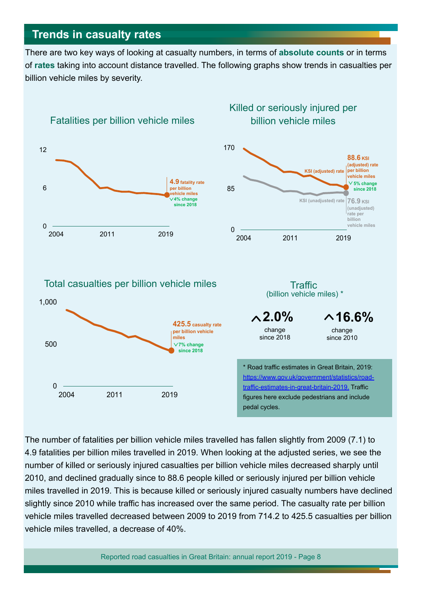# <span id="page-7-0"></span>**Trends in casualty rates**

There are two key ways of looking at casualty numbers, in terms of **absolute counts** or in terms of **rates** taking into account distance travelled. The following graphs show trends in casualties per billion vehicle miles by severity.



The number of fatalities per billion vehicle miles travelled has fallen slightly from 2009 (7.1) to 4.9 fatalities per billion miles travelled in 2019. When looking at the adjusted series, we see the number of killed or seriously injured casualties per billion vehicle miles decreased sharply until 2010, and declined gradually since to 88.6 people killed or seriously injured per billion vehicle miles travelled in 2019. This is because killed or seriously injured casualty numbers have declined slightly since 2010 while traffic has increased over the same period. The casualty rate per billion vehicle miles travelled decreased between 2009 to 2019 from 714.2 to 425.5 casualties per billion vehicle miles travelled, a decrease of 40%.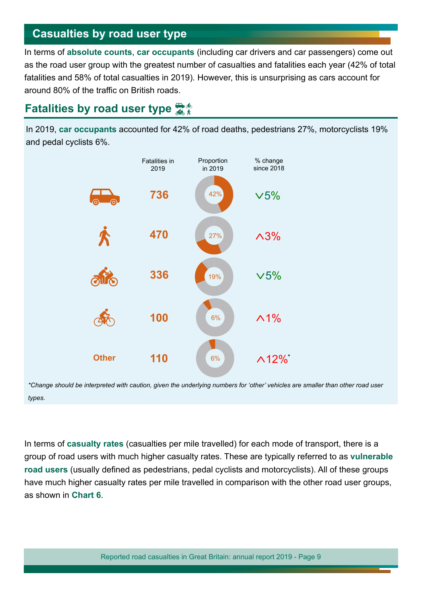## <span id="page-8-0"></span>**Casualties by road user type**

In terms of **absolute counts**, **car occupants** (including car drivers and car passengers) come out as the road user group with the greatest number of casualties and fatalities each year (42% of total fatalities and 58% of total casualties in 2019). However, this is unsurprising as cars account for around 80% of the traffic on British roads.

# **Fatalities by road user type**

In 2019, **car occupants** accounted for 42% of road deaths, pedestrians 27%, motorcyclists 19% and pedal cyclists 6%.



*\*Change should be interpreted with caution, given the underlying numbers for 'other' vehicles are smaller than other road user types.*

In terms of **casualty rates** (casualties per mile travelled) for each mode of transport, there is a group of road users with much higher casualty rates. These are typically referred to as **vulnerable road users** (usually defned as pedestrians, pedal cyclists and motorcyclists). All of these groups have much higher casualty rates per mile travelled in comparison with the other road user groups, as shown in **Chart 6**.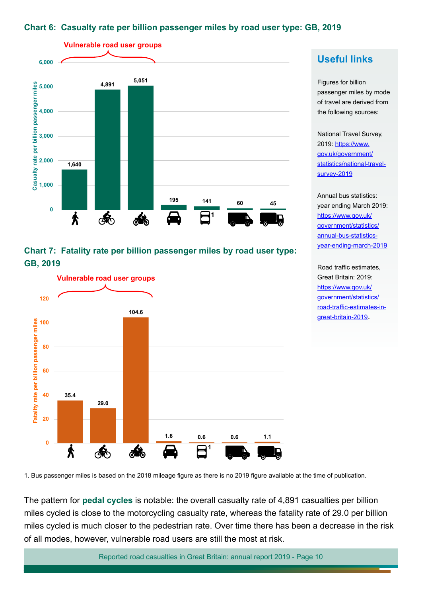#### **Chart 6: Casualty rate per billion passenger miles by road user type: GB, 2019**



#### **Chart 7: Fatality rate per billion passenger miles by road user type: GB, 2019**



## **Useful links**

Figures for billion passenger miles by mode of travel are derived from the following sources:

National Travel Survey, 2019: [https://www.](https://www.gov.uk/government/statistics/national-travel-survey-2019) [gov.uk/government/](https://www.gov.uk/government/statistics/national-travel-survey-2019) [statistics/national-travel](https://www.gov.uk/government/statistics/national-travel-survey-2019)[survey-2019](https://www.gov.uk/government/statistics/national-travel-survey-2019)

Annual bus statistics: year ending March 2019: [https://www.gov.uk/](https://www.gov.uk/government/statistics/annual-bus-statistics-year-ending-march-2019) [government/statistics/](https://www.gov.uk/government/statistics/annual-bus-statistics-year-ending-march-2019) [annual-bus-statistics](https://www.gov.uk/government/statistics/annual-bus-statistics-year-ending-march-2019)[year-ending-march-2019](https://www.gov.uk/government/statistics/annual-bus-statistics-year-ending-march-2019)

Road traffic estimates, Great Britain: 2019: [https://www.gov.uk/](https://www.gov.uk/government/statistics/road-traffic-estimates-in-great-britain-2019) [government/statistics/](https://www.gov.uk/government/statistics/road-traffic-estimates-in-great-britain-2019) road-traffic-estimates-in[great-britain-2019.](https://www.gov.uk/government/statistics/road-traffic-estimates-in-great-britain-2019)

1. Bus passenger miles is based on the 2018 mileage fgure as there is no 2019 fgure available at the time of publication.

The pattern for **pedal cycles** is notable: the overall casualty rate of 4,891 casualties per billion miles cycled is close to the motorcycling casualty rate, whereas the fatality rate of 29.0 per billion miles cycled is much closer to the pedestrian rate. Over time there has been a decrease in the risk of all modes, however, vulnerable road users are still the most at risk.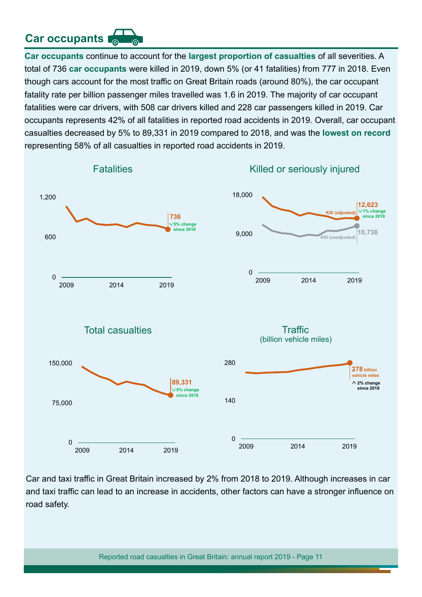# **Car occupants**

**Car occupants** continue to account for the **largest proportion of casualties** of all severities. A total of 736 **car occupants** were killed in 2019, down 5% (or 41 fatalities) from 777 in 2018. Even though cars account for the most traffic on Great Britain roads (around 80%), the car occupant fatality rate per billion passenger miles travelled was 1.6 in 2019. The majority of car occupant fatalities were car drivers, with 508 car drivers killed and 228 car passengers killed in 2019. Car occupants represents 42% of all fatalities in reported road accidents in 2019. Overall, car occupant casualties decreased by 5% to 89,331 in 2019 compared to 2018, and was the **lowest on record**  representing 58% of all casualties in reported road accidents in 2019.



Car and taxi traffic in Great Britain increased by 2% from 2018 to 2019. Although increases in car and taxi traffic can lead to an increase in accidents, other factors can have a stronger influence on road safety.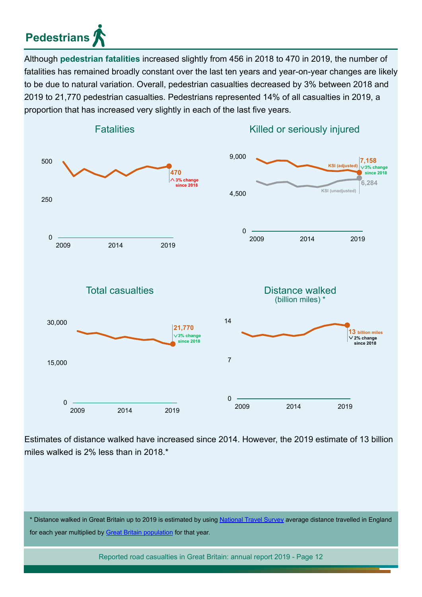# **Pedestrians**

Although **pedestrian fatalities** increased slightly from 456 in 2018 to 470 in 2019, the number of fatalities has remained broadly constant over the last ten years and year-on-year changes are likely to be due to natural variation. Overall, pedestrian casualties decreased by 3% between 2018 and 2019 to 21,770 pedestrian casualties. Pedestrians represented 14% of all casualties in 2019, a proportion that has increased very slightly in each of the last five years.



Estimates of distance walked have increased since 2014. However, the 2019 estimate of 13 billion miles walked is 2% less than in 2018.\*

\* Distance walked in Great Britain up to 2019 is estimated by using [National Travel Survey](https://www.gov.uk/government/collections/national-travel-survey-statistics) average distance travelled in England for each year multiplied by [Great Britain population](https://www.nomisweb.co.uk/query/select/getdatasetbytheme.asp?opt=3&theme=&subgrp) for that year.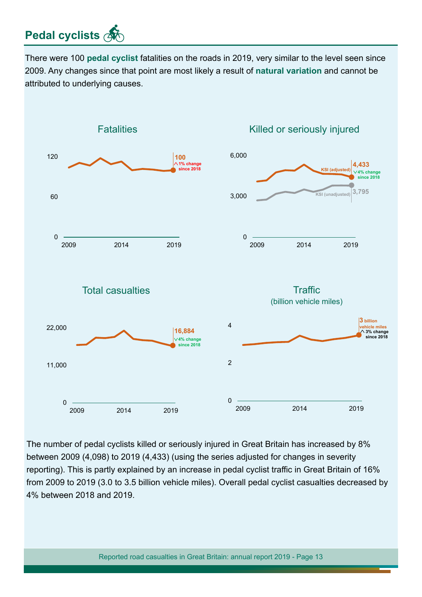# **Pedal cyclists**

There were 100 **pedal cyclist** fatalities on the roads in 2019, very similar to the level seen since 2009. Any changes since that point are most likely a result of **natural variation** and cannot be attributed to underlying causes.



The number of pedal cyclists killed or seriously injured in Great Britain has increased by 8% between 2009 (4,098) to 2019 (4,433) (using the series adjusted for changes in severity reporting). This is partly explained by an increase in pedal cyclist traffic in Great Britain of 16% from 2009 to 2019 (3.0 to 3.5 billion vehicle miles). Overall pedal cyclist casualties decreased by 4% between 2018 and 2019.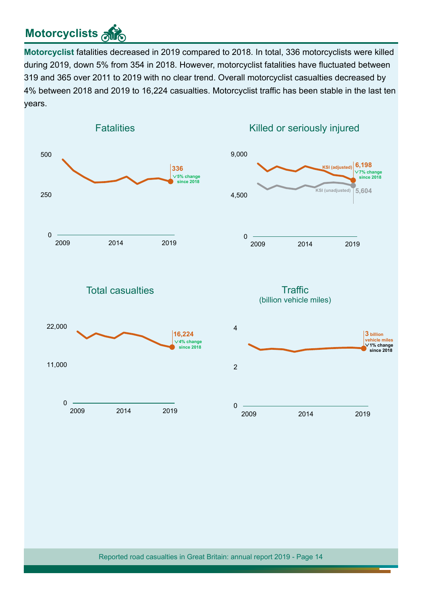# **Motorcyclists**

**Motorcyclist** fatalities decreased in 2019 compared to 2018. In total, 336 motorcyclists were killed during 2019, down 5% from 354 in 2018. However, motorcyclist fatalities have fuctuated between 319 and 365 over 2011 to 2019 with no clear trend. Overall motorcyclist casualties decreased by 4% between 2018 and 2019 to 16,224 casualties. Motorcyclist traffic has been stable in the last ten years.

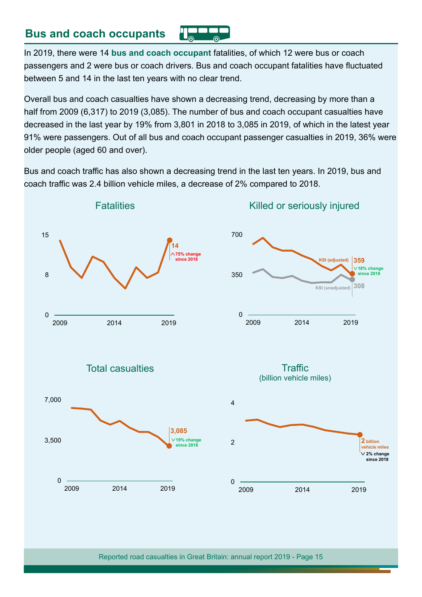## **Bus and coach occupants**

In 2019, there were 14 **bus and coach occupant** fatalities, of which 12 were bus or coach passengers and 2 were bus or coach drivers. Bus and coach occupant fatalities have fuctuated between 5 and 14 in the last ten years with no clear trend.

Overall bus and coach casualties have shown a decreasing trend, decreasing by more than a half from 2009 (6,317) to 2019 (3,085). The number of bus and coach occupant casualties have decreased in the last year by 19% from 3,801 in 2018 to 3,085 in 2019, of which in the latest year 91% were passengers. Out of all bus and coach occupant passenger casualties in 2019, 36% were older people (aged 60 and over).

Bus and coach traffic has also shown a decreasing trend in the last ten years. In 2019, bus and coach traffic was 2.4 billion vehicle miles, a decrease of 2% compared to 2018.

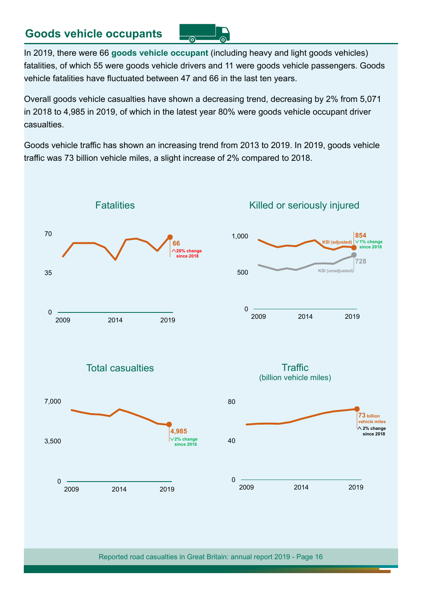## **Goods vehicle occupants**

൫ ෧

In 2019, there were 66 **goods vehicle occupant** (including heavy and light goods vehicles) fatalities, of which 55 were goods vehicle drivers and 11 were goods vehicle passengers. Goods vehicle fatalities have fuctuated between 47 and 66 in the last ten years.

Overall goods vehicle casualties have shown a decreasing trend, decreasing by 2% from 5,071 in 2018 to 4,985 in 2019, of which in the latest year 80% were goods vehicle occupant driver casualties.

Goods vehicle traffic has shown an increasing trend from 2013 to 2019. In 2019, goods vehicle traffic was 73 billion vehicle miles, a slight increase of 2% compared to 2018.



Total casualties

2009 2014 2019

0

3,500

7,000

### Killed or seriously injured







Reported road casualties in Great Britain: annual report 2019 - Page 16

**4,985 2% change since 2018**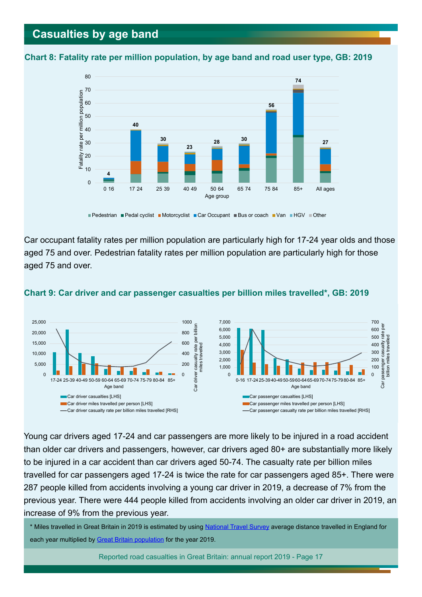## <span id="page-16-0"></span>**Casualties by age band**





<sup>■</sup> Pedestrian ■ Pedal cyclist ■ Motorcyclist ■ Car Occupant ■ Bus or coach ■ Van ■ HGV ■ Other

Car occupant fatality rates per million population are particularly high for 17-24 year olds and those aged 75 and over. Pedestrian fatality rates per million population are particularly high for those aged 75 and over.



#### **Chart 9: Car driver and car passenger casualties per billion miles travelled\*, GB: 2019**

Young car drivers aged 17-24 and car passengers are more likely to be injured in a road accident than older car drivers and passengers, however, car drivers aged 80+ are substantially more likely to be injured in a car accident than car drivers aged 50-74. The casualty rate per billion miles travelled for car passengers aged 17-24 is twice the rate for car passengers aged 85+. There were 287 people killed from accidents involving a young car driver in 2019, a decrease of 7% from the previous year. There were 444 people killed from accidents involving an older car driver in 2019, an increase of 9% from the previous year.

\* Miles travelled in Great Britain in 2019 is estimated by using [National Travel Survey](https://www.gov.uk/government/collections/national-travel-survey-statistics) average distance travelled in England for each year multiplied by [Great Britain population](https://www.nomisweb.co.uk/query/select/getdatasetbytheme.asp?opt=3&theme=&subgrp) for the year 2019.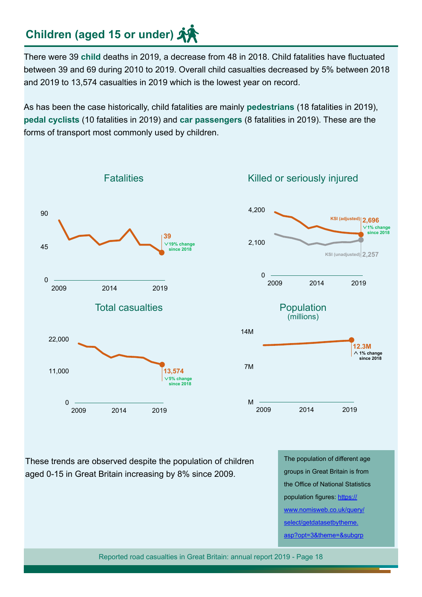# **Children (aged 15 or under)**

There were 39 **child** deaths in 2019, a decrease from 48 in 2018. Child fatalities have fuctuated between 39 and 69 during 2010 to 2019. Overall child casualties decreased by 5% between 2018 and 2019 to 13,574 casualties in 2019 which is the lowest year on record.

As has been the case historically, child fatalities are mainly **pedestrians** (18 fatalities in 2019), **pedal cyclists** (10 fatalities in 2019) and **car passengers** (8 fatalities in 2019). These are the forms of transport most commonly used by children.



These trends are observed despite the population of children aged 0-15 in Great Britain increasing by 8% since 2009.

The population of diferent age groups in Great Britain is from the Office of National Statistics population figures: [https://](https://www.nomisweb.co.uk/query/select/getdatasetbytheme.asp?opt=3&theme=&subgrp) [www.nomisweb.co.uk/query/](https://www.nomisweb.co.uk/query/select/getdatasetbytheme.asp?opt=3&theme=&subgrp) [select/getdatasetbytheme.](https://www.nomisweb.co.uk/query/select/getdatasetbytheme.asp?opt=3&theme=&subgrp) [asp?opt=3&theme=&subgrp](https://www.nomisweb.co.uk/query/select/getdatasetbytheme.asp?opt=3&theme=&subgrp)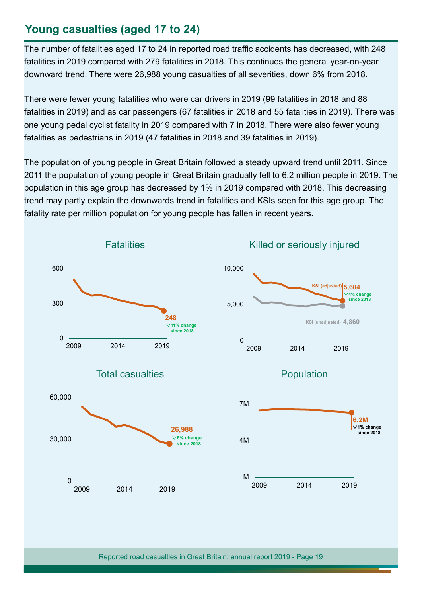# **Young casualties (aged 17 to 24)**

The number of fatalities aged 17 to 24 in reported road traffic accidents has decreased, with 248 fatalities in 2019 compared with 279 fatalities in 2018. This continues the general year-on-year downward trend. There were 26,988 young casualties of all severities, down 6% from 2018.

There were fewer young fatalities who were car drivers in 2019 (99 fatalities in 2018 and 88 fatalities in 2019) and as car passengers (67 fatalities in 2018 and 55 fatalities in 2019). There was one young pedal cyclist fatality in 2019 compared with 7 in 2018. There were also fewer young fatalities as pedestrians in 2019 (47 fatalities in 2018 and 39 fatalities in 2019).

The population of young people in Great Britain followed a steady upward trend until 2011. Since 2011 the population of young people in Great Britain gradually fell to 6.2 million people in 2019. The population in this age group has decreased by 1% in 2019 compared with 2018. This decreasing trend may partly explain the downwards trend in fatalities and KSIs seen for this age group. The fatality rate per million population for young people has fallen in recent years.

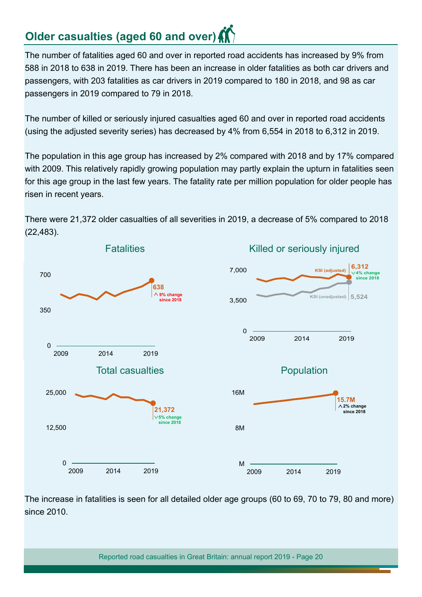# **Older casualties (aged 60 and over)**

The number of fatalities aged 60 and over in reported road accidents has increased by 9% from 588 in 2018 to 638 in 2019. There has been an increase in older fatalities as both car drivers and passengers, with 203 fatalities as car drivers in 2019 compared to 180 in 2018, and 98 as car passengers in 2019 compared to 79 in 2018.

The number of killed or seriously injured casualties aged 60 and over in reported road accidents (using the adjusted severity series) has decreased by 4% from 6,554 in 2018 to 6,312 in 2019.

The population in this age group has increased by 2% compared with 2018 and by 17% compared with 2009. This relatively rapidly growing population may partly explain the upturn in fatalities seen for this age group in the last few years. The fatality rate per million population for older people has risen in recent years.



There were 21,372 older casualties of all severities in 2019, a decrease of 5% compared to 2018 (22,483).

The increase in fatalities is seen for all detailed older age groups (60 to 69, 70 to 79, 80 and more) since 2010.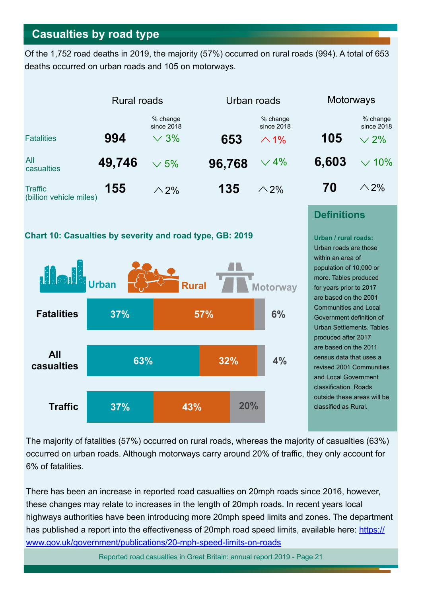## <span id="page-20-0"></span>**Casualties by road type**

Of the 1,752 road deaths in 2019, the majority (57%) occurred on rural roads (994). A total of 653 deaths occurred on urban roads and 105 on motorways.







## **Definitions**

**Urban / rural roads:** Urban roads are those within an area of population of 10,000 or more. Tables produced for years prior to 2017 are based on the 2001 Communities and Local Government definition of Urban Settlements. Tables produced after 2017 are based on the 2011 census data that uses a revised 2001 Communities and Local Government classification. Roads outside these areas will be classifed as Rural.

The majority of fatalities (57%) occurred on rural roads, whereas the majority of casualties (63%) occurred on urban roads. Although motorways carry around 20% of traffic, they only account for 6% of fatalities.

There has been an increase in reported road casualties on 20mph roads since 2016, however, these changes may relate to increases in the length of 20mph roads. In recent years local highways authorities have been introducing more 20mph speed limits and zones. The department has published a report into the effectiveness of 20mph road speed limits, available here: [https://](https://www.gov.uk/government/publications/20-mph-speed-limits-on-roads) [www.gov.uk/government/publications/20-mph-speed-limits-on-roads](https://www.gov.uk/government/publications/20-mph-speed-limits-on-roads)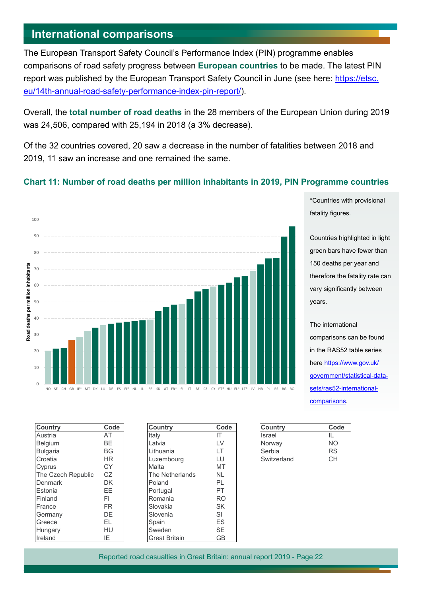## <span id="page-21-0"></span>**International comparisons**

The European Transport Safety Council's Performance Index (PIN) programme enables comparisons of road safety progress between **European countries** to be made. The latest PIN report was published by the European Transport Safety Council in June (see here: [https://etsc.](https://etsc.eu/14th-annual-road-safety-performance-index-pin-report/) [eu/14th-annual-road-safety-performance-index-pin-report/](https://etsc.eu/14th-annual-road-safety-performance-index-pin-report/)).

Overall, the **total number of road deaths** in the 28 members of the European Union during 2019 was 24,506, compared with 25,194 in 2018 (a 3% decrease).

Of the 32 countries covered, 20 saw a decrease in the number of fatalities between 2018 and 2019, 11 saw an increase and one remained the same.

#### **Chart 11: Number of road deaths per million inhabitants in 2019, PIN Programme countries**



\*Countries with provisional fatality figures.

Countries highlighted in light green bars have fewer than 150 deaths per year and therefore the fatality rate can vary significantly between years.

The international comparisons can be found in the RAS52 table series here [https://www.gov.uk/](https://www.gov.uk/government/statistical-data-sets/ras52-international-comparisons) [government/statistical-data](https://www.gov.uk/government/statistical-data-sets/ras52-international-comparisons)[sets/ras52-international](https://www.gov.uk/government/statistical-data-sets/ras52-international-comparisons)[comparisons](https://www.gov.uk/government/statistical-data-sets/ras52-international-comparisons).

| <b>Country</b>     | Code      | <b>Country</b>       | Co             |
|--------------------|-----------|----------------------|----------------|
| Austria            | AT        | Italy                | IT.            |
| <b>Belgium</b>     | BE.       | Latvia               | <b>LV</b>      |
| <b>Bulgaria</b>    | <b>BG</b> | Lithuania            | LT.            |
| Croatia            | <b>HR</b> | Luxembourg           | LU             |
| Cyprus             | <b>CY</b> | Malta                | MT             |
| The Czech Republic | CZ.       | The Netherlands      | <b>NL</b>      |
| Denmark            | DK        | Poland               | PL             |
| Estonia            | EE.       | Portugal             | PT.            |
| Finland            | FI.       | Romania              | R <sub>O</sub> |
| France             | FR.       | Slovakia             | SK             |
| Germany            | DE        | Slovenia             | SI             |
| Greece             | EL.       | Spain                | <b>ES</b>      |
| Hungary            | HU        | Sweden               | <b>SE</b>      |
| Ireland            | ΙE        | <b>Great Britain</b> | GB             |

| Country            | Code      | <b>Country</b>       | Code      | Country     | Code      |
|--------------------|-----------|----------------------|-----------|-------------|-----------|
| Austria            | AT        | Italy                | ΙT        | Israel      | IL        |
| Belgium            | BE.       | Latvia               | LV        | Norway      | <b>NO</b> |
| Bulgaria           | <b>BG</b> | Lithuania            | LT        | Serbia      | <b>RS</b> |
| Croatia            | HR.       | Luxembourg           | LU        | Switzerland | <b>CH</b> |
| Cyprus             | СY        | Malta                | MT        |             |           |
| The Czech Republic | CZ.       | The Netherlands      | <b>NL</b> |             |           |
| Denmark            | DK.       | Poland               | PL        |             |           |
| Estonia            | EE.       | Portugal             | PT        |             |           |
| Finland            | FI        | Romania              | <b>RO</b> |             |           |
| France             | FR.       | Slovakia             | <b>SK</b> |             |           |
| Germany            | DE.       | Slovenia             | SI        |             |           |
| Greece             | EL        | Spain                | ES.       |             |           |
| Hungary            | HU        | Sweden               | SE.       |             |           |
| Ireland            | ΙE        | <b>Great Britain</b> | <b>GB</b> |             |           |

| <b>Country</b> | Code |
|----------------|------|
| Israel         | н.   |
| Norway         | NΟ   |
| Serbia         | RS   |
| Switzerland    | าн   |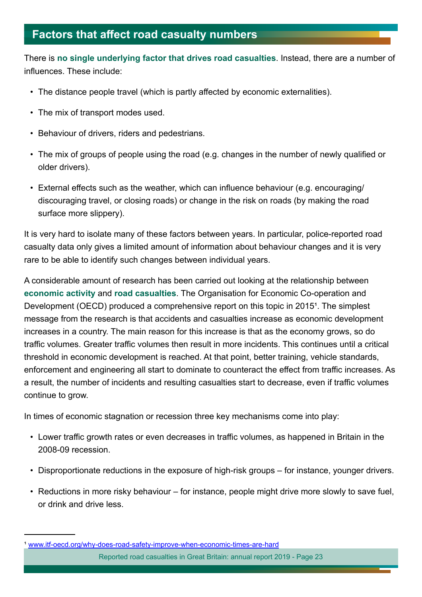# <span id="page-22-0"></span>**Factors that afect road casualty numbers**

There is **no single underlying factor that drives road casualties**. Instead, there are a number of infuences. These include:

- The distance people travel (which is partly affected by economic externalities).
- The mix of transport modes used.
- Behaviour of drivers, riders and pedestrians.
- The mix of groups of people using the road (e.g. changes in the number of newly qualifed or older drivers).
- External effects such as the weather, which can influence behaviour (e.g. encouraging/ discouraging travel, or closing roads) or change in the risk on roads (by making the road surface more slippery).

It is very hard to isolate many of these factors between years. In particular, police-reported road casualty data only gives a limited amount of information about behaviour changes and it is very rare to be able to identify such changes between individual years.

A considerable amount of research has been carried out looking at the relationship between **economic activity** and **road casualties**. The Organisation for Economic Co-operation and Development (OECD) produced a comprehensive report on this topic in 20151. The simplest message from the research is that accidents and casualties increase as economic development increases in a country. The main reason for this increase is that as the economy grows, so do traffic volumes. Greater traffic volumes then result in more incidents. This continues until a critical threshold in economic development is reached. At that point, better training, vehicle standards, enforcement and engineering all start to dominate to counteract the effect from traffic increases. As a result, the number of incidents and resulting casualties start to decrease, even if traffic volumes continue to grow.

In times of economic stagnation or recession three key mechanisms come into play:

- Lower traffic growth rates or even decreases in traffic volumes, as happened in Britain in the 2008-09 recession.
- Disproportionate reductions in the exposure of high-risk groups for instance, younger drivers.
- Reductions in more risky behaviour for instance, people might drive more slowly to save fuel, or drink and drive less.

<sup>&</sup>lt;sup>1</sup> [www.itf-oecd.org/why-does-road-safety-improve-when-economic-times-are-hard](http://www.itf-oecd.org/why-does-road-safety-improve-when-economic-times-are-hard)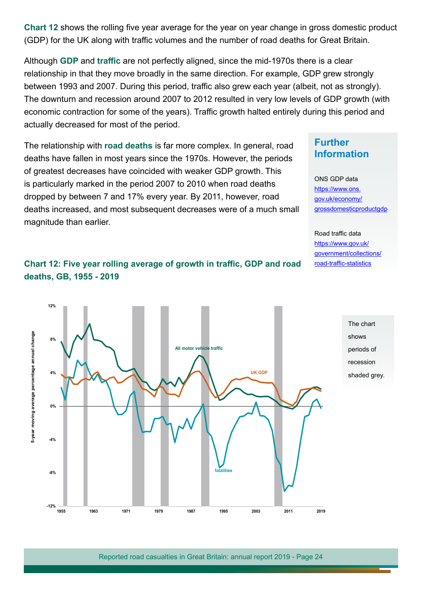**Chart 12** shows the rolling five year average for the year on year change in gross domestic product (GDP) for the UK along with traffic volumes and the number of road deaths for Great Britain.

Although GDP and traffic are not perfectly aligned, since the mid-1970s there is a clear relationship in that they move broadly in the same direction. For example, GDP grew strongly between 1993 and 2007. During this period, traffic also grew each year (albeit, not as strongly). The downturn and recession around 2007 to 2012 resulted in very low levels of GDP growth (with economic contraction for some of the years). Traffic growth halted entirely during this period and actually decreased for most of the period.

The relationship with **road deaths** is far more complex. In general, road deaths have fallen in most years since the 1970s. However, the periods of greatest decreases have coincided with weaker GDP growth. This is particularly marked in the period 2007 to 2010 when road deaths dropped by between 7 and 17% every year. By 2011, however, road deaths increased, and most subsequent decreases were of a much small magnitude than earlier.

## **Further Information**

ONS GDP data https://www.ons. gov.uk/economy/ grossdomesticproductgdp

Road traffic data [https://www.gov.uk/](https://www.gov.uk/government/collections/road-traffic-statistics) [government/collections/](https://www.gov.uk/government/collections/road-traffic-statistics) road-traffic-statistics

> The chart shows

periods of recession shaded grey.



**Chart 12: Five year rolling average of growth in traffic, GDP and road deaths, GB, 1955 - 2019**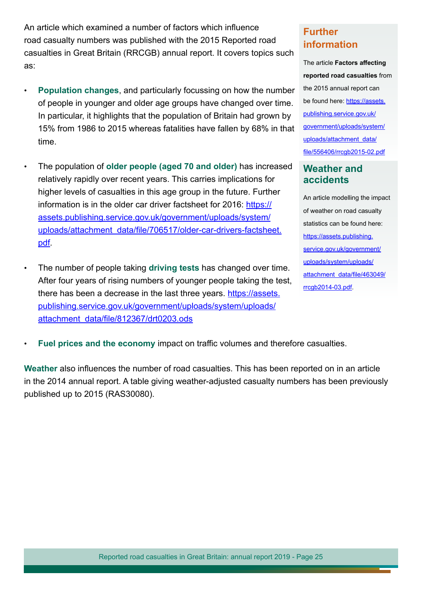An article which examined a number of factors which infuence road casualty numbers was published with the 2015 Reported road casualties in Great Britain (RRCGB) annual report. It covers topics such as:

- **Population changes**, and particularly focussing on how the number of people in younger and older age groups have changed over time. In particular, it highlights that the population of Britain had grown by 15% from 1986 to 2015 whereas fatalities have fallen by 68% in that time.
- The population of **older people (aged 70 and older)** has increased relatively rapidly over recent years. This carries implications for higher levels of casualties in this age group in the future. Further information is in the older car driver factsheet for 2016: [https://](https://assets.publishing.service.gov.uk/government/uploads/system/uploads/attachment_data/file/706517/older-car-drivers-factsheet.pdf) [assets.publishing.service.gov.uk/government/uploads/system/](https://assets.publishing.service.gov.uk/government/uploads/system/uploads/attachment_data/file/706517/older-car-drivers-factsheet.pdf) [uploads/attachment data/fle/706517/older-car-drivers-factsheet.](https://assets.publishing.service.gov.uk/government/uploads/system/uploads/attachment_data/file/706517/older-car-drivers-factsheet.pdf) [pdf.](https://assets.publishing.service.gov.uk/government/uploads/system/uploads/attachment_data/file/706517/older-car-drivers-factsheet.pdf)
- The number of people taking **driving tests** has changed over time. After four years of rising numbers of younger people taking the test, there has been a decrease in the last three years. [https://assets.](https://assets.publishing.service.gov.uk/government/uploads/system/uploads/attachment_data/file/812367/drt0203.ods) [publishing.service.gov.uk/government/uploads/system/uploads/](https://assets.publishing.service.gov.uk/government/uploads/system/uploads/attachment_data/file/812367/drt0203.ods) [attachment data/fle/812367/drt0203.ods](https://assets.publishing.service.gov.uk/government/uploads/system/uploads/attachment_data/file/812367/drt0203.ods)

## **Further information**

The article **Factors afecting reported road casualties** from the 2015 annual report can be found here: [https://assets.](https://assets.publishing.service.gov.uk/government/uploads/system/uploads/attachment_data/file/556406/rrcgb2015-02.pdf) [publishing.service.gov.uk/](https://assets.publishing.service.gov.uk/government/uploads/system/uploads/attachment_data/file/556406/rrcgb2015-02.pdf) [government/uploads/system/](https://assets.publishing.service.gov.uk/government/uploads/system/uploads/attachment_data/file/556406/rrcgb2015-02.pdf) [uploads/attachment\\_data/](https://assets.publishing.service.gov.uk/government/uploads/system/uploads/attachment_data/file/556406/rrcgb2015-02.pdf) [fle/556406/rrcgb2015-02.pdf](https://assets.publishing.service.gov.uk/government/uploads/system/uploads/attachment_data/file/556406/rrcgb2015-02.pdf)

### **Weather and accidents**

An article modelling the impact of weather on road casualty statistics can be found here: [https://assets.publishing.](https://assets.publishing.service.gov.uk/government/uploads/system/uploads/attachment_data/file/463049/rrcgb2014-03.pdf) [service.gov.uk/government/](https://assets.publishing.service.gov.uk/government/uploads/system/uploads/attachment_data/file/463049/rrcgb2014-03.pdf) [uploads/system/uploads/](https://assets.publishing.service.gov.uk/government/uploads/system/uploads/attachment_data/file/463049/rrcgb2014-03.pdf) attachment data/file/463049/ [rrcgb2014-03.pdf.](https://assets.publishing.service.gov.uk/government/uploads/system/uploads/attachment_data/file/463049/rrcgb2014-03.pdf)

**Fuel prices and the economy impact on traffic volumes and therefore casualties.** 

**Weather** also infuences the number of road casualties. This has been reported on in an article in the 2014 annual report. A table giving weather-adjusted casualty numbers has been previously published up to 2015 (RAS30080).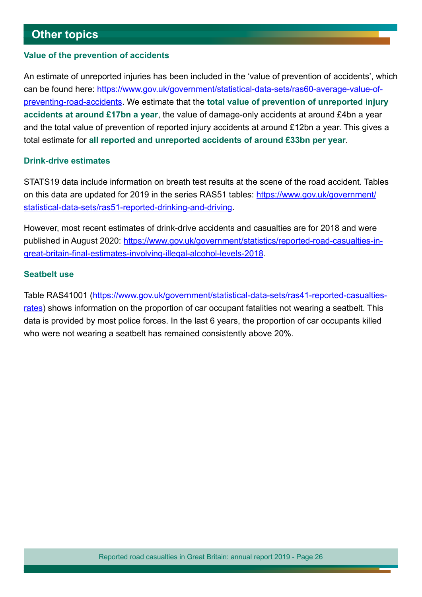## <span id="page-25-0"></span>**Other topics**

#### **Value of the prevention of accidents**

An estimate of unreported injuries has been included in the 'value of prevention of accidents', which can be found here: [https://www.gov.uk/government/statistical-data-sets/ras60-average-value-of](https://www.gov.uk/government/statistical-data-sets/ras60-average-value-of-preventing-road-accidents)[preventing-road-accidents](https://www.gov.uk/government/statistical-data-sets/ras60-average-value-of-preventing-road-accidents). We estimate that the **total value of prevention of unreported injury accidents at around £17bn a year**, the value of damage-only accidents at around £4bn a year and the total value of prevention of reported injury accidents at around £12bn a year. This gives a total estimate for **all reported and unreported accidents of around £33bn per year**.

#### **Drink-drive estimates**

STATS19 data include information on breath test results at the scene of the road accident. Tables on this data are updated for 2019 in the series RAS51 tables: [https://www.gov.uk/government/](https://www.gov.uk/government/statistical-data-sets/ras51-reported-drinking-and-driving) [statistical-data-sets/ras51-reported-drinking-and-driving.](https://www.gov.uk/government/statistical-data-sets/ras51-reported-drinking-and-driving)

However, most recent estimates of drink-drive accidents and casualties are for 2018 and were published in August 2020: [https://www.gov.uk/government/statistics/reported-road-casualties-in](https://www.gov.uk/government/statistics/reported-road-casualties-in-great-britain-final-estimates-involving-illegal-alcohol-levels-2018)[great-britain-fnal-estimates-involving-illegal-alcohol-levels-2018](https://www.gov.uk/government/statistics/reported-road-casualties-in-great-britain-final-estimates-involving-illegal-alcohol-levels-2018).

#### **Seatbelt use**

Table RAS41001 ([https://www.gov.uk/government/statistical-data-sets/ras41-reported-casualties](https://www.gov.uk/government/statistical-data-sets/ras41-reported-casualties-rates)[rates](https://www.gov.uk/government/statistical-data-sets/ras41-reported-casualties-rates)) shows information on the proportion of car occupant fatalities not wearing a seatbelt. This data is provided by most police forces. In the last 6 years, the proportion of car occupants killed who were not wearing a seatbelt has remained consistently above 20%.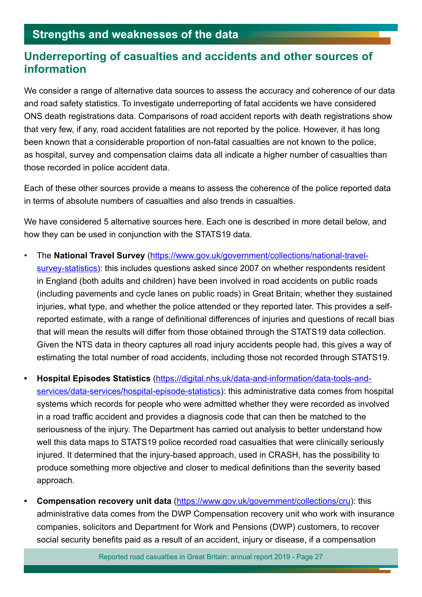## <span id="page-26-0"></span>**Strengths and weaknesses of the data**

## **Underreporting of casualties and accidents and other sources of information**

We consider a range of alternative data sources to assess the accuracy and coherence of our data and road safety statistics. To investigate underreporting of fatal accidents we have considered ONS death registrations data. Comparisons of road accident reports with death registrations show that very few, if any, road accident fatalities are not reported by the police. However, it has long been known that a considerable proportion of non-fatal casualties are not known to the police, as hospital, survey and compensation claims data all indicate a higher number of casualties than those recorded in police accident data.

Each of these other sources provide a means to assess the coherence of the police reported data in terms of absolute numbers of casualties and also trends in casualties.

We have considered 5 alternative sources here. Each one is described in more detail below, and how they can be used in conjunction with the STATS19 data.

- The **National Travel Survey** [\(https://www.gov.uk/government/collections/national-travel](https://www.gov.uk/government/collections/national-travel-survey-statistics)[survey-statistics](https://www.gov.uk/government/collections/national-travel-survey-statistics)): this includes questions asked since 2007 on whether respondents resident in England (both adults and children) have been involved in road accidents on public roads (including pavements and cycle lanes on public roads) in Great Britain; whether they sustained injuries, what type, and whether the police attended or they reported later. This provides a selfreported estimate, with a range of definitional differences of injuries and questions of recall bias that will mean the results will difer from those obtained through the STATS19 data collection. Given the NTS data in theory captures all road injury accidents people had, this gives a way of estimating the total number of road accidents, including those not recorded through STATS19.
- **• Hospital Episodes Statistics** [\(https://digital.nhs.uk/data-and-information/data-tools-and](https://digital.nhs.uk/data-and-information/data-tools-and-services/data-services/hospital-episode-statistics)[services/data-services/hospital-episode-statistics](https://digital.nhs.uk/data-and-information/data-tools-and-services/data-services/hospital-episode-statistics)): this administrative data comes from hospital systems which records for people who were admitted whether they were recorded as involved in a road traffic accident and provides a diagnosis code that can then be matched to the seriousness of the injury. The Department has carried out analysis to better understand how well this data maps to STATS19 police recorded road casualties that were clinically seriously injured. It determined that the injury-based approach, used in CRASH, has the possibility to produce something more objective and closer to medical defnitions than the severity based approach.
- **Compensation recovery unit data [\(https://www.gov.uk/government/collections/cru](https://www.gov.uk/government/collections/cru)): this** administrative data comes from the DWP Compensation recovery unit who work with insurance companies, solicitors and Department for Work and Pensions (DWP) customers, to recover social security benefits paid as a result of an accident, injury or disease, if a compensation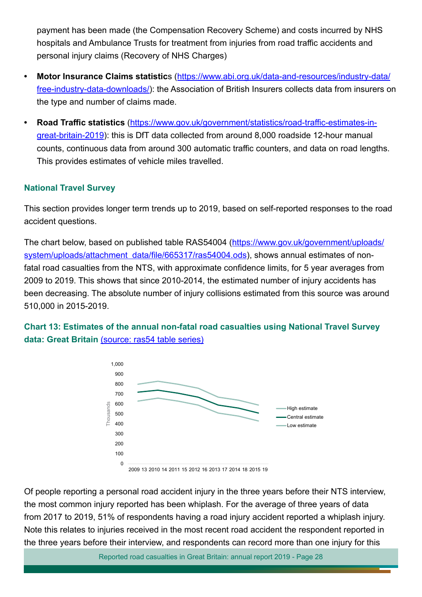payment has been made (the Compensation Recovery Scheme) and costs incurred by NHS hospitals and Ambulance Trusts for treatment from injuries from road traffic accidents and personal injury claims (Recovery of NHS Charges)

- **• Motor Insurance Claims statistic**s [\(https://www.abi.org.uk/data-and-resources/industry-data/](https://www.abi.org.uk/data-and-resources/industry-data/free-industry-data-downloads/) [free-industry-data-downloads/](https://www.abi.org.uk/data-and-resources/industry-data/free-industry-data-downloads/)): the Association of British Insurers collects data from insurers on the type and number of claims made.
- **Road Traffic statistics** (https://www.gov.uk/government/statistics/road-traffic-estimates-in[great-britain-2019](https://www.gov.uk/government/statistics/road-traffic-estimates-in-great-britain-2019)): this is DfT data collected from around 8,000 roadside 12-hour manual counts, continuous data from around 300 automatic traffic counters, and data on road lengths. This provides estimates of vehicle miles travelled.

### **National Travel Survey**

This section provides longer term trends up to 2019, based on self-reported responses to the road accident questions.

The chart below, based on published table RAS54004 ([https://www.gov.uk/government/uploads/](https://www.gov.uk/government/uploads/system/uploads/attachment_data/file/665317/ras54004.ods) system/uploads/attachment data/file/665317/ras54004.ods), shows annual estimates of nonfatal road casualties from the NTS, with approximate confidence limits, for 5 year averages from 2009 to 2019. This shows that since 2010-2014, the estimated number of injury accidents has been decreasing. The absolute number of injury collisions estimated from this source was around 510,000 in 2015-2019.

**Chart 13: Estimates of the annual non-fatal road casualties using National Travel Survey data: Great Britain** [\(source: ras54 table series\)](https://www.gov.uk/government/statistical-data-sets/ras54-survey-data)



2009 13 2010 14 2011 15 2012 16 2013 17 2014 18 2015 19

Of people reporting a personal road accident injury in the three years before their NTS interview, the most common injury reported has been whiplash. For the average of three years of data from 2017 to 2019, 51% of respondents having a road injury accident reported a whiplash injury. Note this relates to injuries received in the most recent road accident the respondent reported in the three years before their interview, and respondents can record more than one injury for this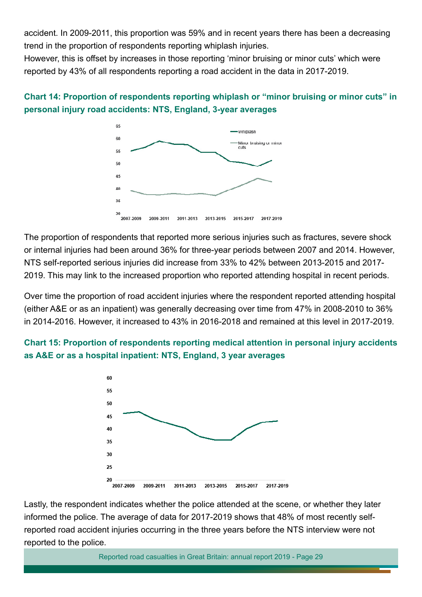accident. In 2009-2011, this proportion was 59% and in recent years there has been a decreasing trend in the proportion of respondents reporting whiplash injuries.

However, this is ofset by increases in those reporting 'minor bruising or minor cuts' which were reported by 43% of all respondents reporting a road accident in the data in 2017-2019.

## **Chart 14: Proportion of respondents reporting whiplash or "minor bruising or minor cuts" in personal injury road accidents: NTS, England, 3-year averages**



The proportion of respondents that reported more serious injuries such as fractures, severe shock or internal injuries had been around 36% for three-year periods between 2007 and 2014. However, NTS self-reported serious injuries did increase from 33% to 42% between 2013-2015 and 2017- 2019. This may link to the increased proportion who reported attending hospital in recent periods.

Over time the proportion of road accident injuries where the respondent reported attending hospital (either A&E or as an inpatient) was generally decreasing over time from 47% in 2008-2010 to 36% in 2014-2016. However, it increased to 43% in 2016-2018 and remained at this level in 2017-2019.

## **Chart 15: Proportion of respondents reporting medical attention in personal injury accidents as A&E or as a hospital inpatient: NTS, England, 3 year averages**



Lastly, the respondent indicates whether the police attended at the scene, or whether they later informed the police. The average of data for 2017-2019 shows that 48% of most recently selfreported road accident injuries occurring in the three years before the NTS interview were not reported to the police.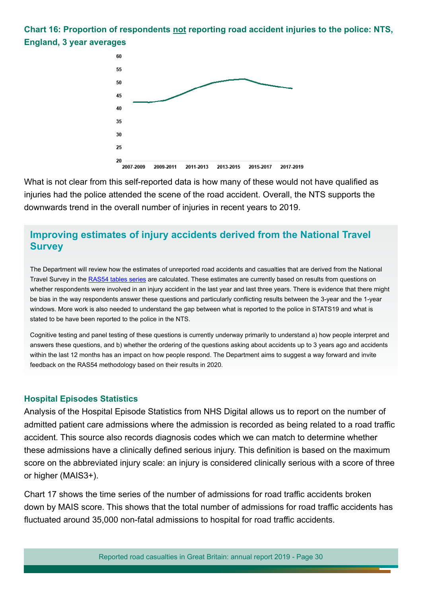**Chart 16: Proportion of respondents not reporting road accident injuries to the police: NTS, England, 3 year averages**



What is not clear from this self-reported data is how many of these would not have qualifed as injuries had the police attended the scene of the road accident. Overall, the NTS supports the downwards trend in the overall number of injuries in recent years to 2019.

## **Improving estimates of injury accidents derived from the National Travel Survey**

The Department will review how the estimates of unreported road accidents and casualties that are derived from the National Travel Survey in the [RAS54 tables series](https://www.gov.uk/government/statistical-data-sets/ras54-survey-data) are calculated. These estimates are currently based on results from questions on whether respondents were involved in an injury accident in the last year and last three years. There is evidence that there might be bias in the way respondents answer these questions and particularly conficting results between the 3-year and the 1-year windows. More work is also needed to understand the gap between what is reported to the police in STATS19 and what is stated to be have been reported to the police in the NTS.

Cognitive testing and panel testing of these questions is currently underway primarily to understand a) how people interpret and answers these questions, and b) whether the ordering of the questions asking about accidents up to 3 years ago and accidents within the last 12 months has an impact on how people respond. The Department aims to suggest a way forward and invite feedback on the RAS54 methodology based on their results in 2020.

#### **Hospital Episodes Statistics**

Analysis of the Hospital Episode Statistics from NHS Digital allows us to report on the number of admitted patient care admissions where the admission is recorded as being related to a road traffic accident. This source also records diagnosis codes which we can match to determine whether these admissions have a clinically defined serious injury. This definition is based on the maximum score on the abbreviated injury scale: an injury is considered clinically serious with a score of three or higher (MAIS3+).

Chart 17 shows the time series of the number of admissions for road traffic accidents broken down by MAIS score. This shows that the total number of admissions for road traffic accidents has fluctuated around 35,000 non-fatal admissions to hospital for road traffic accidents.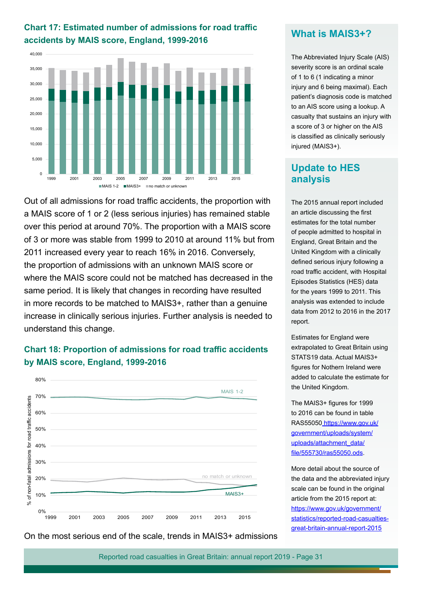

**Chart 17: Estimated number of admissions for road traffic** 

Out of all admissions for road traffic accidents, the proportion with a MAIS score of 1 or 2 (less serious injuries) has remained stable over this period at around 70%. The proportion with a MAIS score of 3 or more was stable from 1999 to 2010 at around 11% but from 2011 increased every year to reach 16% in 2016. Conversely, the proportion of admissions with an unknown MAIS score or where the MAIS score could not be matched has decreased in the same period. It is likely that changes in recording have resulted in more records to be matched to MAIS3+, rather than a genuine increase in clinically serious injuries. Further analysis is needed to understand this change.

## **Chart 18: Proportion of admissions for road traffic accidents by MAIS score, England, 1999-2016**



### **What is MAIS3+?**

The Abbreviated Injury Scale (AIS) severity score is an ordinal scale of 1 to 6 (1 indicating a minor injury and 6 being maximal). Each patient's diagnosis code is matched to an AIS score using a lookup. A casualty that sustains an injury with a score of 3 or higher on the AIS is classifed as clinically seriously injured (MAIS3+).

## **Update to HES analysis**

The 2015 annual report included an article discussing the frst estimates for the total number of people admitted to hospital in England, Great Britain and the United Kingdom with a clinically defined serious injury following a road traffic accident, with Hospital Episodes Statistics (HES) data for the years 1999 to 2011. This analysis was extended to include data from 2012 to 2016 in the 2017 report.

Estimates for England were extrapolated to Great Britain using STATS19 data. Actual MAIS3+ fgures for Nothern Ireland were added to calculate the estimate for the United Kingdom.

The MAIS3+ figures for 1999 to 2016 can be found in table RAS55050 [https://www.gov.uk/](https://www.gov.uk/government/uploads/system/uploads/attachment_data/file/555730/ras55050.ods) [government/uploads/system/](https://www.gov.uk/government/uploads/system/uploads/attachment_data/file/555730/ras55050.ods) [uploads/attachment\\_data/](https://www.gov.uk/government/uploads/system/uploads/attachment_data/file/555730/ras55050.ods) [fle/555730/ras55050.ods](https://www.gov.uk/government/uploads/system/uploads/attachment_data/file/555730/ras55050.ods).

More detail about the source of the data and the abbreviated injury scale can be found in the original article from the 2015 report at: [https://www.gov.uk/government/](https://www.gov.uk/government/statistics/reported-road-casualties-great-britain-annual-report-2015) [statistics/reported-road-casualties](https://www.gov.uk/government/statistics/reported-road-casualties-great-britain-annual-report-2015)[great-britain-annual-report-2015](https://www.gov.uk/government/statistics/reported-road-casualties-great-britain-annual-report-2015)

On the most serious end of the scale, trends in MAIS3+ admissions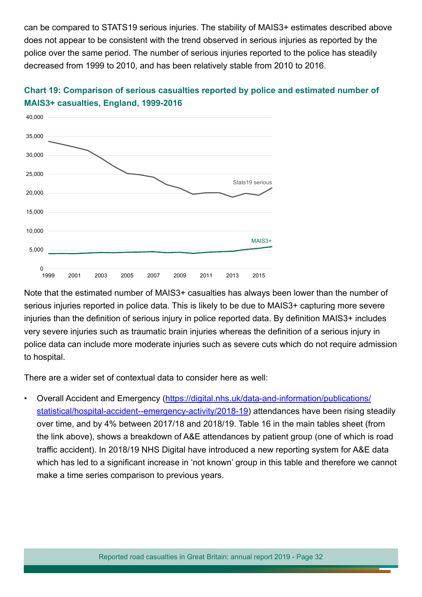can be compared to STATS19 serious injuries. The stability of MAIS3+ estimates described above does not appear to be consistent with the trend observed in serious injuries as reported by the police over the same period. The number of serious injuries reported to the police has steadily decreased from 1999 to 2010, and has been relatively stable from 2010 to 2016.



## **Chart 19: Comparison of serious casualties reported by police and estimated number of MAIS3+ casualties, England, 1999-2016**

Note that the estimated number of MAIS3+ casualties has always been lower than the number of serious injuries reported in police data. This is likely to be due to MAIS3+ capturing more severe injuries than the definition of serious injury in police reported data. By definition MAIS3+ includes very severe injuries such as traumatic brain injuries whereas the defnition of a serious injury in police data can include more moderate injuries such as severe cuts which do not require admission to hospital.

There are a wider set of contextual data to consider here as well:

• Overall Accident and Emergency [\(https://digital.nhs.uk/data-and-information/publications/](https://digital.nhs.uk/data-and-information/publications/statistical/hospital-accident--emergency-activity/2018-19) [statistical/hospital-accident--emergency-activity/2018-19](https://digital.nhs.uk/data-and-information/publications/statistical/hospital-accident--emergency-activity/2018-19)) attendances have been rising steadily over time, and by 4% between 2017/18 and 2018/19. Table 16 in the main tables sheet (from the link above), shows a breakdown of A&E attendances by patient group (one of which is road traffic accident). In 2018/19 NHS Digital have introduced a new reporting system for A&E data which has led to a significant increase in 'not known' group in this table and therefore we cannot make a time series comparison to previous years.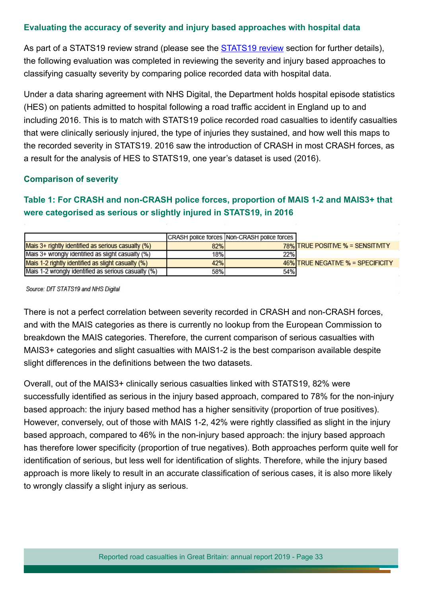#### **Evaluating the accuracy of severity and injury based approaches with hospital data**

As part of a [STATS19 review](#page-34-0) strand (please see the **STATS19 review** section for further details), the following evaluation was completed in reviewing the severity and injury based approaches to classifying casualty severity by comparing police recorded data with hospital data.

Under a data sharing agreement with NHS Digital, the Department holds hospital episode statistics (HES) on patients admitted to hospital following a road traffic accident in England up to and including 2016. This is to match with STATS19 police recorded road casualties to identify casualties that were clinically seriously injured, the type of injuries they sustained, and how well this maps to the recorded severity in STATS19. 2016 saw the introduction of CRASH in most CRASH forces, as a result for the analysis of HES to STATS19, one year's dataset is used (2016).

#### **Comparison of severity**

## **Table 1: For CRASH and non-CRASH police forces, proportion of MAIS 1-2 and MAIS3+ that were categorised as serious or slightly injured in STATS19, in 2016**

|                                                         |     | CRASH police forces Non-CRASH police forces |                                   |
|---------------------------------------------------------|-----|---------------------------------------------|-----------------------------------|
| Mais $3+$ rightly identified as serious casualty $(\%)$ | 82% |                                             | 78% TRUE POSITIVE % = SENSITIVITY |
| Mais 3+ wrongly identified as slight casualty (%)       | 18% | 22%                                         |                                   |
| Mais 1-2 rightly identified as slight casualty (%)      | 42% |                                             | 46% TRUE NEGATIVE % = SPECIFICITY |
| Mais 1-2 wrongly identified as serious casualty (%)     | 58% | 54%                                         |                                   |

Source: DfT STATS19 and NHS Digital

There is not a perfect correlation between severity recorded in CRASH and non-CRASH forces, and with the MAIS categories as there is currently no lookup from the European Commission to breakdown the MAIS categories. Therefore, the current comparison of serious casualties with MAIS3+ categories and slight casualties with MAIS1-2 is the best comparison available despite slight differences in the definitions between the two datasets.

Overall, out of the MAIS3+ clinically serious casualties linked with STATS19, 82% were successfully identifed as serious in the injury based approach, compared to 78% for the non-injury based approach: the injury based method has a higher sensitivity (proportion of true positives). However, conversely, out of those with MAIS 1-2, 42% were rightly classifed as slight in the injury based approach, compared to 46% in the non-injury based approach: the injury based approach has therefore lower specificity (proportion of true negatives). Both approaches perform quite well for identifcation of serious, but less well for identifcation of slights. Therefore, while the injury based approach is more likely to result in an accurate classifcation of serious cases, it is also more likely to wrongly classify a slight injury as serious.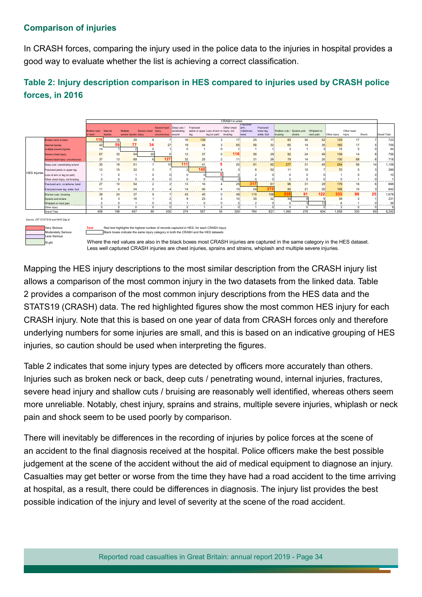### **Comparison of injuries**

In CRASH forces, comparing the injury used in the police data to the injuries in hospital provides a good way to evaluate whether the list is achieving a correct classifcation.

## **Table 2: Injury description comparison in HES compared to injuries used by CRASH police forces, in 2016**



Mapping the HES injury descriptions to the most similar description from the CRASH injury list allows a comparison of the most common injury in the two datasets from the linked data. Table 2 provides a comparison of the most common injury descriptions from the HES data and the STATS19 (CRASH) data. The red highlighted figures show the most common HES injury for each CRASH injury. Note that this is based on one year of data from CRASH forces only and therefore underlying numbers for some injuries are small, and this is based on an indicative grouping of HES injuries, so caution should be used when interpreting the figures.

Table 2 indicates that some injury types are detected by officers more accurately than others. Injuries such as broken neck or back, deep cuts / penetrating wound, internal injuries, fractures, severe head injury and shallow cuts / bruising are reasonably well identified, whereas others seem more unreliable. Notably, chest injury, sprains and strains, multiple severe injuries, whiplash or neck pain and shock seem to be used poorly by comparison.

There will inevitably be diferences in the recording of injuries by police forces at the scene of an accident to the final diagnosis received at the hospital. Police officers make the best possible judgement at the scene of the accident without the aid of medical equipment to diagnose an injury. Casualties may get better or worse from the time they have had a road accident to the time arriving at hospital, as a result, there could be diferences in diagnosis. The injury list provides the best possible indication of the injury and level of severity at the scene of the road accident.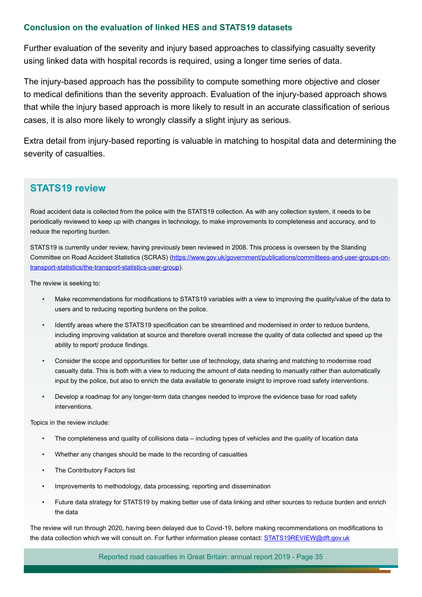#### **Conclusion on the evaluation of linked HES and STATS19 datasets**

Further evaluation of the severity and injury based approaches to classifying casualty severity using linked data with hospital records is required, using a longer time series of data.

The injury-based approach has the possibility to compute something more objective and closer to medical definitions than the severity approach. Evaluation of the injury-based approach shows that while the injury based approach is more likely to result in an accurate classifcation of serious cases, it is also more likely to wrongly classify a slight injury as serious.

Extra detail from injury-based reporting is valuable in matching to hospital data and determining the severity of casualties.

## <span id="page-34-0"></span>**STATS19 review**

Road accident data is collected from the police with the STATS19 collection. As with any collection system, it needs to be periodically reviewed to keep up with changes in technology, to make improvements to completeness and accuracy, and to reduce the reporting burden.

STATS19 is currently under review, having previously been reviewed in 2008. This process is overseen by the Standing Committee on Road Accident Statistics (SCRAS) ([https://www.gov.uk/government/publications/committees-and-user-groups-on](https://www.gov.uk/government/publications/committees-and-user-groups-on-transport-statistics/the-transport-statistics-user-group)[transport-statistics/the-transport-statistics-user-group](https://www.gov.uk/government/publications/committees-and-user-groups-on-transport-statistics/the-transport-statistics-user-group)).

The review is seeking to:

- Make recommendations for modifcations to STATS19 variables with a view to improving the quality/value of the data to users and to reducing reporting burdens on the police.
- Identify areas where the STATS19 specification can be streamlined and modernised in order to reduce burdens, including improving validation at source and therefore overall increase the quality of data collected and speed up the ability to report/ produce fndings.
- Consider the scope and opportunities for better use of technology, data sharing and matching to modernise road casualty data. This is both with a view to reducing the amount of data needing to manually rather than automatically input by the police, but also to enrich the data available to generate insight to improve road safety interventions.
- Develop a roadmap for any longer-term data changes needed to improve the evidence base for road safety interventions.

Topics in the review include:

- The completeness and quality of collisions data including types of vehicles and the quality of location data
- Whether any changes should be made to the recording of casualties
- The Contributory Factors list
- Improvements to methodology, data processing, reporting and dissemination
- Future data strategy for STATS19 by making better use of data linking and other sources to reduce burden and enrich the data

The review will run through 2020, having been delayed due to Covid-19, before making recommendations on modifcations to the data collection which we will consult on. For further information please contact: [STATS19REVIEW@dft.gov.uk](mailto:STATS19REVIEW@dft.gov.uk)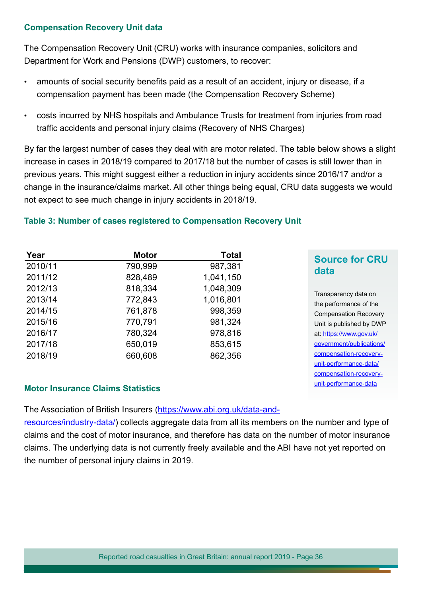#### **Compensation Recovery Unit data**

The Compensation Recovery Unit (CRU) works with insurance companies, solicitors and Department for Work and Pensions (DWP) customers, to recover:

- amounts of social security benefits paid as a result of an accident, injury or disease, if a compensation payment has been made (the Compensation Recovery Scheme)
- costs incurred by NHS hospitals and Ambulance Trusts for treatment from injuries from road traffic accidents and personal injury claims (Recovery of NHS Charges)

By far the largest number of cases they deal with are motor related. The table below shows a slight increase in cases in 2018/19 compared to 2017/18 but the number of cases is still lower than in previous years. This might suggest either a reduction in injury accidents since 2016/17 and/or a change in the insurance/claims market. All other things being equal, CRU data suggests we would not expect to see much change in injury accidents in 2018/19.

## **Table 3: Number of cases registered to Compensation Recovery Unit**

| Year    | <b>Motor</b> | <b>Total</b> | <b>Source for CRU</b>                          |
|---------|--------------|--------------|------------------------------------------------|
| 2010/11 | 790,999      | 987,381      | data                                           |
| 2011/12 | 828,489      | 1,041,150    |                                                |
| 2012/13 | 818,334      | 1,048,309    |                                                |
| 2013/14 | 772,843      | 1,016,801    | Transparency data on<br>the performance of the |
| 2014/15 | 761,878      | 998,359      | <b>Compensation Recovery</b>                   |
| 2015/16 | 770,791      | 981,324      | Unit is published by DWP                       |
| 2016/17 | 780,324      | 978,816      | at: https://www.gov.uk/                        |
| 2017/18 | 650,019      | 853,615      | government/publications/                       |
| 2018/19 | 660,608      | 862,356      | compensation-recovery-                         |
|         |              |              | unit-performance-data/                         |

[compensation-recovery](https://www.gov.uk/government/publications/compensation-recovery-unit-performance-data/compensation-recovery-unit-performance-data)[unit-performance-data](https://www.gov.uk/government/publications/compensation-recovery-unit-performance-data/compensation-recovery-unit-performance-data)

#### **Motor Insurance Claims Statistics**

The Association of British Insurers ([https://www.abi.org.uk/data-and-](https://www.abi.org.uk/data-and-resources/industry-data/)

[resources/industry-data/](https://www.abi.org.uk/data-and-resources/industry-data/)) collects aggregate data from all its members on the number and type of claims and the cost of motor insurance, and therefore has data on the number of motor insurance claims. The underlying data is not currently freely available and the ABI have not yet reported on the number of personal injury claims in 2019.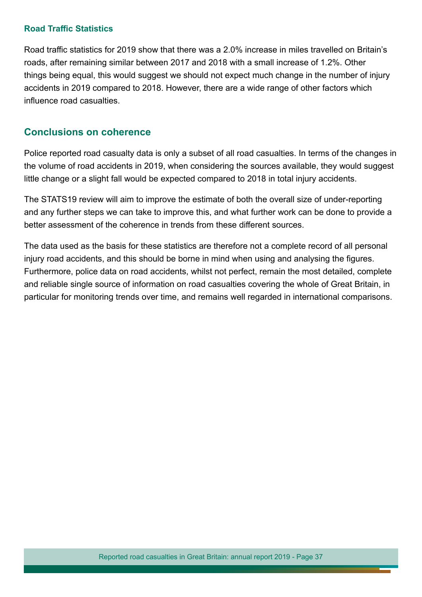#### **Road Traffic Statistics**

Road traffic statistics for 2019 show that there was a 2.0% increase in miles travelled on Britain's roads, after remaining similar between 2017 and 2018 with a small increase of 1.2%. Other things being equal, this would suggest we should not expect much change in the number of injury accidents in 2019 compared to 2018. However, there are a wide range of other factors which infuence road casualties.

## **Conclusions on coherence**

Police reported road casualty data is only a subset of all road casualties. In terms of the changes in the volume of road accidents in 2019, when considering the sources available, they would suggest little change or a slight fall would be expected compared to 2018 in total injury accidents.

The STATS19 review will aim to improve the estimate of both the overall size of under-reporting and any further steps we can take to improve this, and what further work can be done to provide a better assessment of the coherence in trends from these diferent sources.

The data used as the basis for these statistics are therefore not a complete record of all personal injury road accidents, and this should be borne in mind when using and analysing the figures. Furthermore, police data on road accidents, whilst not perfect, remain the most detailed, complete and reliable single source of information on road casualties covering the whole of Great Britain, in particular for monitoring trends over time, and remains well regarded in international comparisons.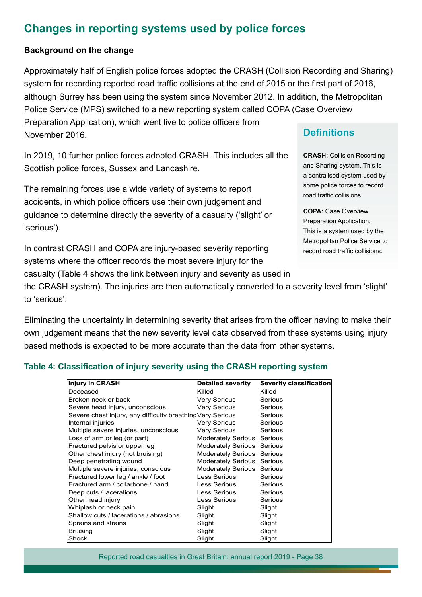# <span id="page-37-0"></span>**Changes in reporting systems used by police forces**

#### **Background on the change**

Approximately half of English police forces adopted the CRASH (Collision Recording and Sharing) system for recording reported road traffic collisions at the end of 2015 or the first part of 2016, although Surrey has been using the system since November 2012. In addition, the Metropolitan Police Service (MPS) switched to a new reporting system called COPA (Case Overview Preparation Application), which went live to police officers from November 2016.

In 2019, 10 further police forces adopted CRASH. This includes all the Scottish police forces, Sussex and Lancashire.

The remaining forces use a wide variety of systems to report accidents, in which police officers use their own judgement and guidance to determine directly the severity of a casualty ('slight' or 'serious').

In contrast CRASH and COPA are injury-based severity reporting systems where the officer records the most severe injury for the

casualty (Table 4 shows the link between injury and severity as used in

the CRASH system). The injuries are then automatically converted to a severity level from 'slight' to 'serious'.

Eliminating the uncertainty in determining severity that arises from the officer having to make their own judgement means that the new severity level data observed from these systems using injury based methods is expected to be more accurate than the data from other systems.

#### **Table 4: Classifcation of injury severity using the CRASH reporting system**

| <b>Injury in CRASH</b>                                     | <b>Detailed severity</b>          | Severity classification |
|------------------------------------------------------------|-----------------------------------|-------------------------|
| Deceased                                                   | Killed                            | Killed                  |
| Broken neck or back                                        | Very Serious                      | Serious                 |
| Severe head injury, unconscious                            | Very Serious                      | Serious                 |
| Severe chest injury, any difficulty breathing Very Serious |                                   | Serious                 |
| Internal injuries                                          | Very Serious                      | Serious                 |
| Multiple severe injuries, unconscious                      | Very Serious                      | Serious                 |
| Loss of arm or leg (or part)                               | <b>Moderately Serious Serious</b> |                         |
| Fractured pelvis or upper leg                              | <b>Moderately Serious Serious</b> |                         |
| Other chest injury (not bruising)                          | <b>Moderately Serious Serious</b> |                         |
| Deep penetrating wound                                     | <b>Moderately Serious Serious</b> |                         |
| Multiple severe injuries, conscious                        | <b>Moderately Serious Serious</b> |                         |
| Fractured lower leg / ankle / foot                         | Less Serious                      | Serious                 |
| Fractured arm / collarbone / hand                          | Less Serious                      | Serious                 |
| Deep cuts / lacerations                                    | Less Serious                      | Serious                 |
| Other head injury                                          | Less Serious                      | Serious                 |
| Whiplash or neck pain                                      | Slight                            | Slight                  |
| Shallow cuts / lacerations / abrasions                     | Slight                            | Slight                  |
| Sprains and strains                                        | Slight                            | Slight                  |
| <b>Bruising</b>                                            | Slight                            | Slight                  |
| Shock                                                      | Slight                            | Slight                  |

## **Definitions**

**CRASH:** Collision Recording and Sharing system. This is a centralised system used by some police forces to record road traffic collisions.

**COPA:** Case Overview Preparation Application. This is a system used by the Metropolitan Police Service to record road traffic collisions.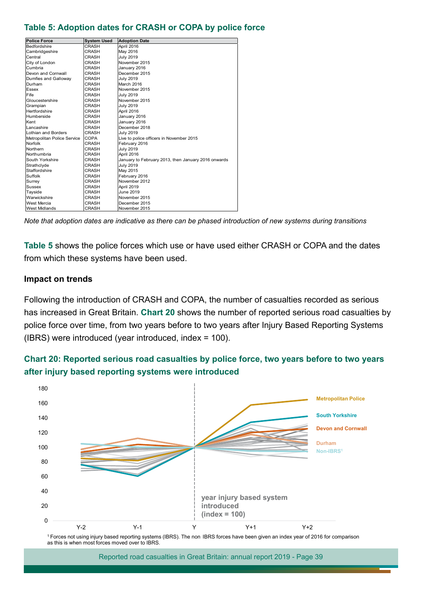#### **Table 5: Adoption dates for CRASH or COPA by police force**

| <b>Police Force</b>         | <b>System Used</b> | <b>Adoption Date</b>                                |
|-----------------------------|--------------------|-----------------------------------------------------|
| <b>Bedfordshire</b>         | CRASH              | April 2016                                          |
| Cambridgeshire              | CRASH              | May 2016                                            |
| Central                     | <b>CRASH</b>       | <b>July 2019</b>                                    |
| City of London              | CRASH              | November 2015                                       |
| Cumbria                     | CRASH              | January 2016                                        |
| Devon and Cornwall          | CRASH              | December 2015                                       |
| Dumfies and Galloway        | CRASH              | <b>July 2019</b>                                    |
| Durham                      | CRASH              | March 2016                                          |
| Essex                       | CRASH              | November 2015                                       |
| Fife                        | CRASH              | <b>July 2019</b>                                    |
| Gloucestershire             | <b>CRASH</b>       | November 2015                                       |
| Grampian                    | <b>CRASH</b>       | <b>July 2019</b>                                    |
| Hertfordshire               | CRASH              | April 2016                                          |
| Humberside                  | CRASH              | January 2016                                        |
| Kent                        | CRASH              | January 2016                                        |
| Lancashire                  | CRASH              | December 2018                                       |
| Lothian and Borders         | CRASH              | <b>July 2019</b>                                    |
| Metropolitan Police Service | COPA               | Live to police officers in November 2015            |
| Norfolk                     | CRASH              | February 2016                                       |
| Northern                    | CRASH              | <b>July 2019</b>                                    |
| Northumbria                 | CRASH              | April 2016                                          |
| South Yorkshire             | CRASH              | January to February 2013, then January 2016 onwards |
| Strathclyde                 | CRASH              | <b>July 2019</b>                                    |
| Staffordshire               | CRASH              | May 2015                                            |
| Suffolk                     | CRASH              | February 2016                                       |
| Surrey                      | CRASH              | November 2012                                       |
| Sussex                      | CRASH              | April 2019                                          |
| Tayside                     | CRASH              | June 2019                                           |
| Warwickshire                | CRASH              | November 2015                                       |
| West Mercia                 | CRASH              | December 2015                                       |
| <b>West Midlands</b>        | <b>CRASH</b>       | November 2015                                       |

*Note that adoption dates are indicative as there can be phased introduction of new systems during transitions*

**Table 5** shows the police forces which use or have used either CRASH or COPA and the dates from which these systems have been used.

#### **Impact on trends**

Following the introduction of CRASH and COPA, the number of casualties recorded as serious has increased in Great Britain. **Chart 20** shows the number of reported serious road casualties by police force over time, from two years before to two years after Injury Based Reporting Systems (IBRS) were introduced (year introduced, index = 100).





<sup>1</sup>Forces not using injury based reporting systems (IBRS). The non IBRS forces have been given an index year of 2016 for comparison as this is when most forces moved over to IBRS.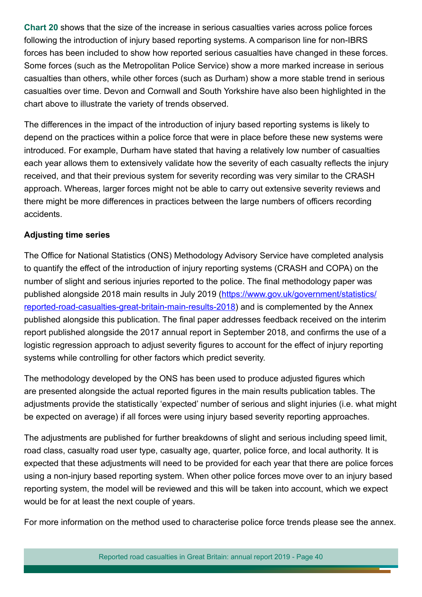**Chart 20** shows that the size of the increase in serious casualties varies across police forces following the introduction of injury based reporting systems. A comparison line for non-IBRS forces has been included to show how reported serious casualties have changed in these forces. Some forces (such as the Metropolitan Police Service) show a more marked increase in serious casualties than others, while other forces (such as Durham) show a more stable trend in serious casualties over time. Devon and Cornwall and South Yorkshire have also been highlighted in the chart above to illustrate the variety of trends observed.

The diferences in the impact of the introduction of injury based reporting systems is likely to depend on the practices within a police force that were in place before these new systems were introduced. For example, Durham have stated that having a relatively low number of casualties each year allows them to extensively validate how the severity of each casualty refects the injury received, and that their previous system for severity recording was very similar to the CRASH approach. Whereas, larger forces might not be able to carry out extensive severity reviews and there might be more differences in practices between the large numbers of officers recording accidents.

#### **Adjusting time series**

The Office for National Statistics (ONS) Methodology Advisory Service have completed analysis to quantify the efect of the introduction of injury reporting systems (CRASH and COPA) on the number of slight and serious injuries reported to the police. The final methodology paper was published alongside 2018 main results in July 2019 ([https://www.gov.uk/government/statistics/](https://www.gov.uk/government/statistics/reported-road-casualties-great-britain-main-results-2018) [reported-road-casualties-great-britain-main-results-2018](https://www.gov.uk/government/statistics/reported-road-casualties-great-britain-main-results-2018)) and is complemented by the Annex published alongside this publication. The fnal paper addresses feedback received on the interim report published alongside the 2017 annual report in September 2018, and confrms the use of a logistic regression approach to adjust severity figures to account for the effect of injury reporting systems while controlling for other factors which predict severity.

The methodology developed by the ONS has been used to produce adjusted figures which are presented alongside the actual reported figures in the main results publication tables. The adjustments provide the statistically 'expected' number of serious and slight injuries (i.e. what might be expected on average) if all forces were using injury based severity reporting approaches.

The adjustments are published for further breakdowns of slight and serious including speed limit, road class, casualty road user type, casualty age, quarter, police force, and local authority. It is expected that these adjustments will need to be provided for each year that there are police forces using a non-injury based reporting system. When other police forces move over to an injury based reporting system, the model will be reviewed and this will be taken into account, which we expect would be for at least the next couple of years.

For more information on the method used to characterise police force trends please see the annex.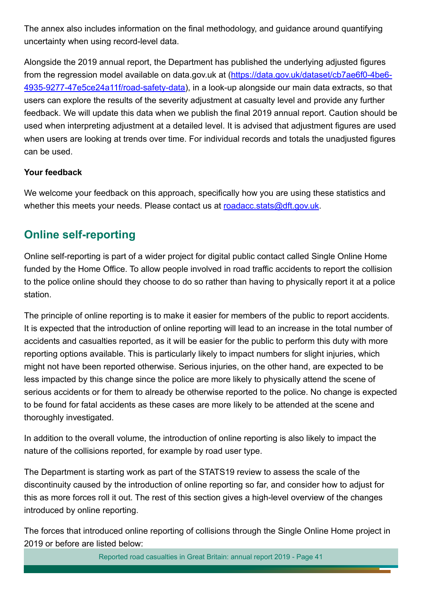The annex also includes information on the final methodology, and guidance around quantifying uncertainty when using record-level data.

Alongside the 2019 annual report, the Department has published the underlying adjusted fgures from the regression model available on data.gov.uk at ([https://data.gov.uk/dataset/cb7ae6f0-4be6-](https://data.gov.uk/dataset/cb7ae6f0-4be6-4935-9277-47e5ce24a11f/road-safety-data) [4935-9277-47e5ce24a11f/road-safety-data](https://data.gov.uk/dataset/cb7ae6f0-4be6-4935-9277-47e5ce24a11f/road-safety-data)), in a look-up alongside our main data extracts, so that users can explore the results of the severity adjustment at casualty level and provide any further feedback. We will update this data when we publish the final 2019 annual report. Caution should be used when interpreting adjustment at a detailed level. It is advised that adjustment fgures are used when users are looking at trends over time. For individual records and totals the unadjusted figures can be used.

### **Your feedback**

We welcome your feedback on this approach, specifically how you are using these statistics and whether this meets your needs. Please contact us at [roadacc.stats@dft.gov.uk](mailto:roadacc.stats%40dft.gov.uk?subject=).

## <span id="page-40-0"></span>**Online self-reporting**

Online self-reporting is part of a wider project for digital public contact called Single Online Home funded by the Home Office. To allow people involved in road traffic accidents to report the collision to the police online should they choose to do so rather than having to physically report it at a police station.

The principle of online reporting is to make it easier for members of the public to report accidents. It is expected that the introduction of online reporting will lead to an increase in the total number of accidents and casualties reported, as it will be easier for the public to perform this duty with more reporting options available. This is particularly likely to impact numbers for slight injuries, which might not have been reported otherwise. Serious injuries, on the other hand, are expected to be less impacted by this change since the police are more likely to physically attend the scene of serious accidents or for them to already be otherwise reported to the police. No change is expected to be found for fatal accidents as these cases are more likely to be attended at the scene and thoroughly investigated.

In addition to the overall volume, the introduction of online reporting is also likely to impact the nature of the collisions reported, for example by road user type.

The Department is starting work as part of the STATS19 review to assess the scale of the discontinuity caused by the introduction of online reporting so far, and consider how to adjust for this as more forces roll it out. The rest of this section gives a high-level overview of the changes introduced by online reporting.

The forces that introduced online reporting of collisions through the Single Online Home project in 2019 or before are listed below: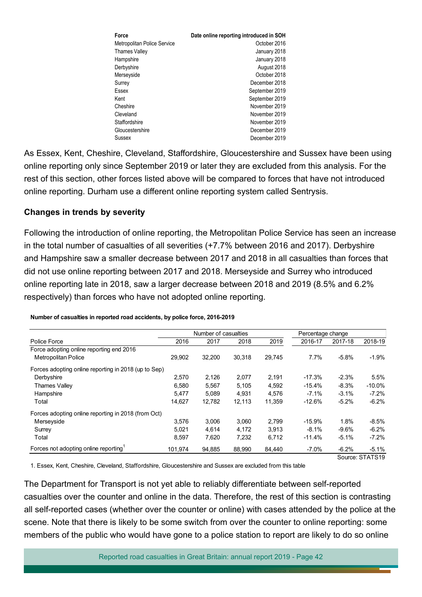| Force                       | Date online reporting introduced in SOH |
|-----------------------------|-----------------------------------------|
| Metropolitan Police Service | October 2016                            |
| Thames Valley               | January 2018                            |
| Hampshire                   | January 2018                            |
| Derbyshire                  | August 2018                             |
| Merseyside                  | October 2018                            |
| Surrey                      | December 2018                           |
| Essex                       | September 2019                          |
| Kent                        | September 2019                          |
| Cheshire                    | November 2019                           |
| Cleveland                   | November 2019                           |
| Staffordshire               | November 2019                           |
| Gloucestershire             | December 2019                           |
| Sussex                      | December 2019                           |

As Essex, Kent, Cheshire, Cleveland, Stafordshire, Gloucestershire and Sussex have been using online reporting only since September 2019 or later they are excluded from this analysis. For the rest of this section, other forces listed above will be compared to forces that have not introduced online reporting. Durham use a diferent online reporting system called Sentrysis.

#### **Changes in trends by severity**

Following the introduction of online reporting, the Metropolitan Police Service has seen an increase in the total number of casualties of all severities (+7.7% between 2016 and 2017). Derbyshire and Hampshire saw a smaller decrease between 2017 and 2018 in all casualties than forces that did not use online reporting between 2017 and 2018. Merseyside and Surrey who introduced online reporting late in 2018, saw a larger decrease between 2018 and 2019 (8.5% and 6.2% respectively) than forces who have not adopted online reporting.

|                                                      |         | Number of casualties |        |        |          | Percentage change |                 |
|------------------------------------------------------|---------|----------------------|--------|--------|----------|-------------------|-----------------|
| Police Force                                         | 2016    | 2017                 | 2018   | 2019   | 2016-17  | 2017-18           | 2018-19         |
| Force adopting online reporting end 2016             |         |                      |        |        |          |                   |                 |
| <b>Metropolitan Police</b>                           | 29.902  | 32,200               | 30,318 | 29,745 | 7.7%     | $-5.8%$           | $-1.9\%$        |
| Forces adopting online reporting in 2018 (up to Sep) |         |                      |        |        |          |                   |                 |
| Derbyshire                                           | 2.570   | 2,126                | 2,077  | 2,191  | $-17.3%$ | $-2.3%$           | 5.5%            |
| <b>Thames Valley</b>                                 | 6,580   | 5,567                | 5,105  | 4,592  | $-15.4%$ | $-8.3%$           | $-10.0\%$       |
| Hampshire                                            | 5,477   | 5,089                | 4,931  | 4,576  | $-7.1%$  | $-3.1%$           | $-7.2\%$        |
| Total                                                | 14.627  | 12,782               | 12,113 | 11,359 | $-12.6%$ | $-5.2%$           | $-6.2\%$        |
| Forces adopting online reporting in 2018 (from Oct)  |         |                      |        |        |          |                   |                 |
| Merseyside                                           | 3,576   | 3,006                | 3,060  | 2,799  | $-15.9%$ | 1.8%              | $-8.5\%$        |
| Surrey                                               | 5.021   | 4,614                | 4,172  | 3.913  | $-8.1\%$ | $-9.6%$           | $-6.2\%$        |
| Total                                                | 8,597   | 7,620                | 7,232  | 6,712  | $-11.4%$ | $-5.1%$           | $-7.2%$         |
| Forces not adopting online reporting <sup>1</sup>    | 101,974 | 94,885               | 88,990 | 84,440 | $-7.0\%$ | $-6.2%$           | $-5.1%$         |
|                                                      |         |                      |        |        |          |                   | Source: STATS19 |

#### **Number of casualties in reported road accidents, by police force, 2016-2019**

1. Essex, Kent, Cheshire, Cleveland, Staffordshire, Gloucestershire and Sussex are excluded from this table

The Department for Transport is not yet able to reliably diferentiate between self-reported casualties over the counter and online in the data. Therefore, the rest of this section is contrasting all self-reported cases (whether over the counter or online) with cases attended by the police at the scene. Note that there is likely to be some switch from over the counter to online reporting: some members of the public who would have gone to a police station to report are likely to do so online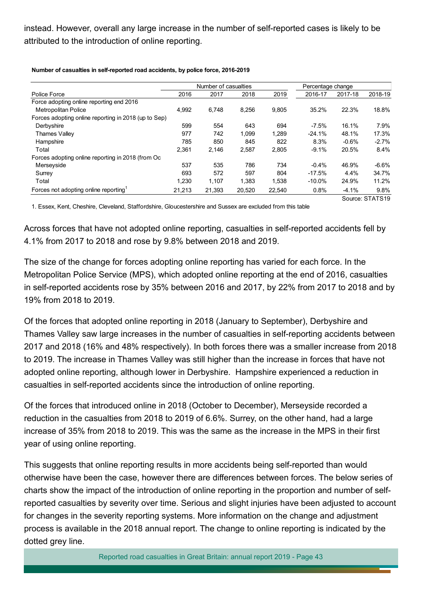instead. However, overall any large increase in the number of self-reported cases is likely to be attributed to the introduction of online reporting.

|                                                      | Number of casualties |        |        |        | Percentage change |         |                 |
|------------------------------------------------------|----------------------|--------|--------|--------|-------------------|---------|-----------------|
| Police Force                                         | 2016                 | 2017   | 2018   | 2019   | 2016-17           | 2017-18 | 2018-19         |
| Force adopting online reporting end 2016             |                      |        |        |        |                   |         |                 |
| <b>Metropolitan Police</b>                           | 4,992                | 6,748  | 8,256  | 9,805  | 35.2%             | 22.3%   | 18.8%           |
| Forces adopting online reporting in 2018 (up to Sep) |                      |        |        |        |                   |         |                 |
| Derbyshire                                           | 599                  | 554    | 643    | 694    | $-7.5%$           | 16.1%   | 7.9%            |
| Thames Valley                                        | 977                  | 742    | 1,099  | 1,289  | $-24.1%$          | 48.1%   | 17.3%           |
| Hampshire                                            | 785                  | 850    | 845    | 822    | 8.3%              | $-0.6%$ | $-2.7%$         |
| Total                                                | 2.361                | 2.146  | 2,587  | 2.805  | $-9.1%$           | 20.5%   | 8.4%            |
| Forces adopting online reporting in 2018 (from Oc    |                      |        |        |        |                   |         |                 |
| Merseyside                                           | 537                  | 535    | 786    | 734    | $-0.4%$           | 46.9%   | $-6.6\%$        |
| Surrey                                               | 693                  | 572    | 597    | 804    | $-17.5%$          | 4.4%    | 34.7%           |
| Total                                                | 1,230                | 1,107  | 1,383  | 1,538  | $-10.0\%$         | 24.9%   | 11.2%           |
| Forces not adopting online reporting <sup>1</sup>    | 21,213               | 21,393 | 20,520 | 22,540 | 0.8%              | $-4.1%$ | 9.8%            |
|                                                      |                      |        |        |        |                   |         | Source: STATS19 |

**Number of casualties in self-reported road accidents, by police force, 2016-2019**

1. Essex, Kent, Cheshire, Cleveland, Staffordshire, Gloucestershire and Sussex are excluded from this table

Across forces that have not adopted online reporting, casualties in self-reported accidents fell by 4.1% from 2017 to 2018 and rose by 9.8% between 2018 and 2019.

The size of the change for forces adopting online reporting has varied for each force. In the Metropolitan Police Service (MPS), which adopted online reporting at the end of 2016, casualties in self-reported accidents rose by 35% between 2016 and 2017, by 22% from 2017 to 2018 and by 19% from 2018 to 2019.

Of the forces that adopted online reporting in 2018 (January to September), Derbyshire and Thames Valley saw large increases in the number of casualties in self-reporting accidents between 2017 and 2018 (16% and 48% respectively). In both forces there was a smaller increase from 2018 to 2019. The increase in Thames Valley was still higher than the increase in forces that have not adopted online reporting, although lower in Derbyshire. Hampshire experienced a reduction in casualties in self-reported accidents since the introduction of online reporting.

Of the forces that introduced online in 2018 (October to December), Merseyside recorded a reduction in the casualties from 2018 to 2019 of 6.6%. Surrey, on the other hand, had a large increase of 35% from 2018 to 2019. This was the same as the increase in the MPS in their first year of using online reporting.

This suggests that online reporting results in more accidents being self-reported than would otherwise have been the case, however there are diferences between forces. The below series of charts show the impact of the introduction of online reporting in the proportion and number of selfreported casualties by severity over time. Serious and slight injuries have been adjusted to account for changes in the severity reporting systems. More information on the change and adjustment process is available in the 2018 annual report. The change to online reporting is indicated by the dotted grey line.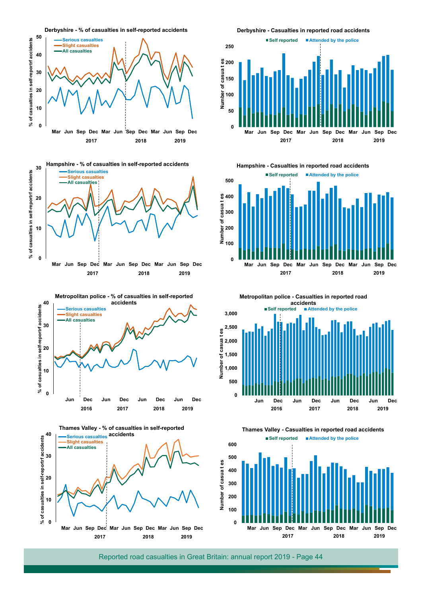







**Derbyshire - Casualties in reported road accidents**



**Hampshire - Casualties in reported road accidents**





**Thames Valley - Casualties in reported road accidents**

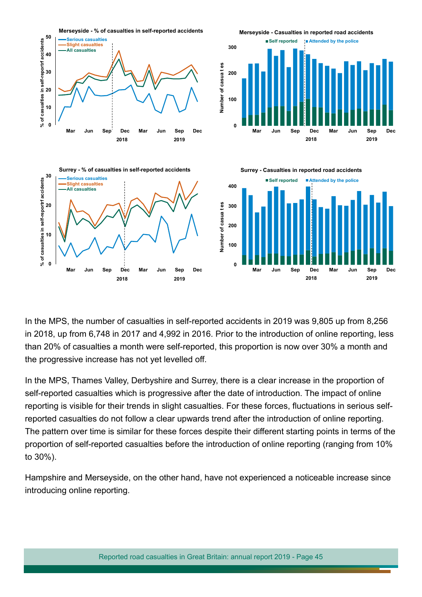

In the MPS, the number of casualties in self-reported accidents in 2019 was 9,805 up from 8,256 in 2018, up from 6,748 in 2017 and 4,992 in 2016. Prior to the introduction of online reporting, less than 20% of casualties a month were self-reported, this proportion is now over 30% a month and the progressive increase has not yet levelled off.

In the MPS, Thames Valley, Derbyshire and Surrey, there is a clear increase in the proportion of self-reported casualties which is progressive after the date of introduction. The impact of online reporting is visible for their trends in slight casualties. For these forces, fuctuations in serious selfreported casualties do not follow a clear upwards trend after the introduction of online reporting. The pattern over time is similar for these forces despite their diferent starting points in terms of the proportion of self-reported casualties before the introduction of online reporting (ranging from 10% to 30%).

Hampshire and Merseyside, on the other hand, have not experienced a noticeable increase since introducing online reporting.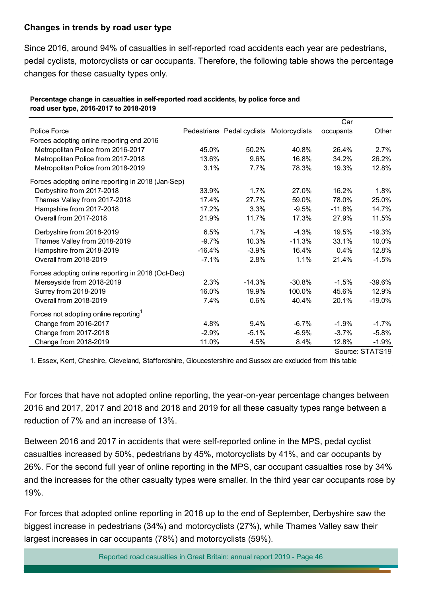#### **Changes in trends by road user type**

Since 2016, around 94% of casualties in self-reported road accidents each year are pedestrians, pedal cyclists, motorcyclists or car occupants. Therefore, the following table shows the percentage changes for these casualty types only.

|                                                    |          |                                          |          | Car             |          |  |
|----------------------------------------------------|----------|------------------------------------------|----------|-----------------|----------|--|
| Police Force                                       |          | Pedestrians Pedal cyclists Motorcyclists |          | occupants       | Other    |  |
| Forces adopting online reporting end 2016          |          |                                          |          |                 |          |  |
| Metropolitan Police from 2016-2017                 | 45.0%    | 50.2%                                    | 40.8%    | 26.4%           | 2.7%     |  |
| Metropolitan Police from 2017-2018                 | 13.6%    | 9.6%                                     | 16.8%    | 34.2%           | 26.2%    |  |
| Metropolitan Police from 2018-2019                 | 3.1%     | 7.7%                                     | 78.3%    | 19.3%           | 12.8%    |  |
| Forces adopting online reporting in 2018 (Jan-Sep) |          |                                          |          |                 |          |  |
| Derbyshire from 2017-2018                          | 33.9%    | 1.7%                                     | 27.0%    | 16.2%           | 1.8%     |  |
| Thames Valley from 2017-2018                       | 17.4%    | 27.7%                                    | 59.0%    | 78.0%           | 25.0%    |  |
| Hampshire from 2017-2018                           | 17.2%    | 3.3%                                     | $-9.5%$  | $-11.8%$        | 14.7%    |  |
| Overall from 2017-2018                             | 21.9%    | 11.7%                                    | 17.3%    | 27.9%           | 11.5%    |  |
| Derbyshire from 2018-2019                          | 6.5%     | 1.7%                                     | $-4.3%$  | 19.5%           | $-19.3%$ |  |
| Thames Valley from 2018-2019                       | $-9.7%$  | 10.3%                                    | $-11.3%$ | 33.1%           | 10.0%    |  |
| Hampshire from 2018-2019                           | $-16.4%$ | $-3.9%$                                  | 16.4%    | 0.4%            | 12.8%    |  |
| Overall from 2018-2019                             | $-7.1%$  | 2.8%                                     | 1.1%     | 21.4%           | $-1.5%$  |  |
| Forces adopting online reporting in 2018 (Oct-Dec) |          |                                          |          |                 |          |  |
| Merseyside from 2018-2019                          | 2.3%     | $-14.3%$                                 | $-30.8%$ | $-1.5%$         | $-39.6%$ |  |
| Surrey from 2018-2019                              | 16.0%    | 19.9%                                    | 100.0%   | 45.6%           | 12.9%    |  |
| Overall from 2018-2019                             | 7.4%     | 0.6%                                     | 40.4%    | 20.1%           | $-19.0%$ |  |
| Forces not adopting online reporting <sup>1</sup>  |          |                                          |          |                 |          |  |
| Change from 2016-2017                              | 4.8%     | 9.4%                                     | $-6.7%$  | $-1.9%$         | $-1.7%$  |  |
| Change from 2017-2018                              | $-2.9%$  | $-5.1%$                                  | $-6.9%$  | $-3.7%$         | $-5.8%$  |  |
| Change from 2018-2019                              | 11.0%    | 4.5%                                     | 8.4%     | 12.8%           | $-1.9%$  |  |
|                                                    |          |                                          |          | Source: STATS19 |          |  |

#### **Percentage change in casualties in self-reported road accidents, by police force and road user type, 2016-2017 to 2018-2019**

1. Essex, Kent, Cheshire, Cleveland, Staffordshire, Gloucestershire and Sussex are excluded from this table

For forces that have not adopted online reporting, the year-on-year percentage changes between 2016 and 2017, 2017 and 2018 and 2018 and 2019 for all these casualty types range between a reduction of 7% and an increase of 13%.

Between 2016 and 2017 in accidents that were self-reported online in the MPS, pedal cyclist casualties increased by 50%, pedestrians by 45%, motorcyclists by 41%, and car occupants by 26%. For the second full year of online reporting in the MPS, car occupant casualties rose by 34% and the increases for the other casualty types were smaller. In the third year car occupants rose by 19%.

For forces that adopted online reporting in 2018 up to the end of September, Derbyshire saw the biggest increase in pedestrians (34%) and motorcyclists (27%), while Thames Valley saw their largest increases in car occupants (78%) and motorcyclists (59%).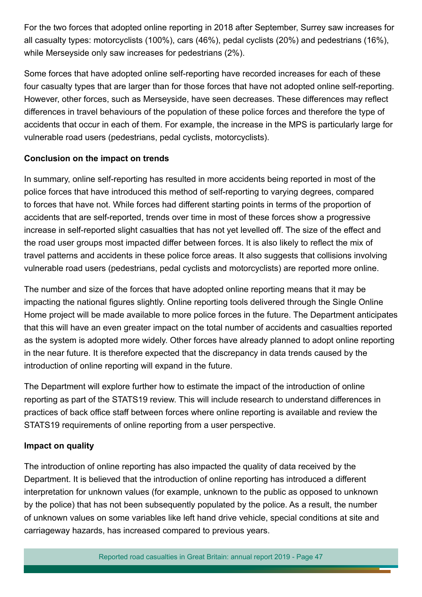For the two forces that adopted online reporting in 2018 after September, Surrey saw increases for all casualty types: motorcyclists (100%), cars (46%), pedal cyclists (20%) and pedestrians (16%), while Merseyside only saw increases for pedestrians (2%).

Some forces that have adopted online self-reporting have recorded increases for each of these four casualty types that are larger than for those forces that have not adopted online self-reporting. However, other forces, such as Merseyside, have seen decreases. These diferences may refect diferences in travel behaviours of the population of these police forces and therefore the type of accidents that occur in each of them. For example, the increase in the MPS is particularly large for vulnerable road users (pedestrians, pedal cyclists, motorcyclists).

#### **Conclusion on the impact on trends**

In summary, online self-reporting has resulted in more accidents being reported in most of the police forces that have introduced this method of self-reporting to varying degrees, compared to forces that have not. While forces had diferent starting points in terms of the proportion of accidents that are self-reported, trends over time in most of these forces show a progressive increase in self-reported slight casualties that has not yet levelled off. The size of the effect and the road user groups most impacted difer between forces. It is also likely to refect the mix of travel patterns and accidents in these police force areas. It also suggests that collisions involving vulnerable road users (pedestrians, pedal cyclists and motorcyclists) are reported more online.

The number and size of the forces that have adopted online reporting means that it may be impacting the national fgures slightly. Online reporting tools delivered through the Single Online Home project will be made available to more police forces in the future. The Department anticipates that this will have an even greater impact on the total number of accidents and casualties reported as the system is adopted more widely. Other forces have already planned to adopt online reporting in the near future. It is therefore expected that the discrepancy in data trends caused by the introduction of online reporting will expand in the future.

The Department will explore further how to estimate the impact of the introduction of online reporting as part of the STATS19 review. This will include research to understand diferences in practices of back office staff between forces where online reporting is available and review the STATS19 requirements of online reporting from a user perspective.

#### **Impact on quality**

The introduction of online reporting has also impacted the quality of data received by the Department. It is believed that the introduction of online reporting has introduced a diferent interpretation for unknown values (for example, unknown to the public as opposed to unknown by the police) that has not been subsequently populated by the police. As a result, the number of unknown values on some variables like left hand drive vehicle, special conditions at site and carriageway hazards, has increased compared to previous years.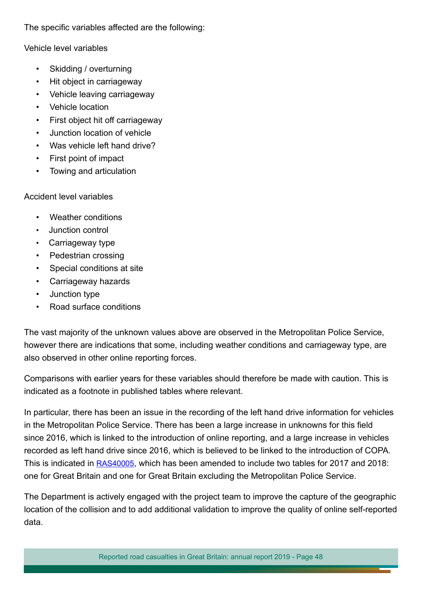The specific variables affected are the following:

Vehicle level variables

- Skidding / overturning
- Hit object in carriageway
- Vehicle leaving carriageway
- Vehicle location
- First object hit off carriageway
- Junction location of vehicle
- Was vehicle left hand drive?
- First point of impact
- Towing and articulation

#### Accident level variables

- Weather conditions
- Junction control
- Carriageway type
- Pedestrian crossing
- Special conditions at site
- Carriageway hazards
- Junction type
- Road surface conditions

The vast majority of the unknown values above are observed in the Metropolitan Police Service, however there are indications that some, including weather conditions and carriageway type, are also observed in other online reporting forces.

Comparisons with earlier years for these variables should therefore be made with caution. This is indicated as a footnote in published tables where relevant.

In particular, there has been an issue in the recording of the left hand drive information for vehicles in the Metropolitan Police Service. There has been a large increase in unknowns for this feld since 2016, which is linked to the introduction of online reporting, and a large increase in vehicles recorded as left hand drive since 2016, which is believed to be linked to the introduction of COPA. This is indicated in [RAS40005](https://www.gov.uk/government/statistical-data-sets/ras40-reported-accidents-vehicles-and-casualties), which has been amended to include two tables for 2017 and 2018: one for Great Britain and one for Great Britain excluding the Metropolitan Police Service.

The Department is actively engaged with the project team to improve the capture of the geographic location of the collision and to add additional validation to improve the quality of online self-reported data.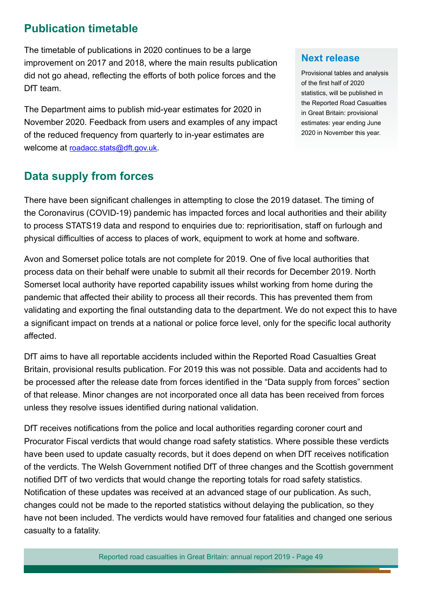# **Publication timetable**

The timetable of publications in 2020 continues to be a large improvement on 2017 and 2018, where the main results publication did not go ahead, reflecting the efforts of both police forces and the DfT team.

The Department aims to publish mid-year estimates for 2020 in November 2020. Feedback from users and examples of any impact of the reduced frequency from quarterly to in-year estimates are welcome at [roadacc.stats@dft.gov.uk.](mailto:roadacc.stats%40dft.gov.uk?subject=)

## **Data supply from forces**

## **Next release**

Provisional tables and analysis of the frst half of 2020 statistics, will be published in the Reported Road Casualties in Great Britain: provisional estimates: year ending June 2020 in November this year.

There have been signifcant challenges in attempting to close the 2019 dataset. The timing of the Coronavirus (COVID-19) pandemic has impacted forces and local authorities and their ability to process STATS19 data and respond to enquiries due to: reprioritisation, staff on furlough and physical difculties of access to places of work, equipment to work at home and software.

Avon and Somerset police totals are not complete for 2019. One of five local authorities that process data on their behalf were unable to submit all their records for December 2019. North Somerset local authority have reported capability issues whilst working from home during the pandemic that afected their ability to process all their records. This has prevented them from validating and exporting the final outstanding data to the department. We do not expect this to have a significant impact on trends at a national or police force level, only for the specific local authority afected.

DfT aims to have all reportable accidents included within the Reported Road Casualties Great Britain, provisional results publication. For 2019 this was not possible. Data and accidents had to be processed after the release date from forces identifed in the "Data supply from forces" section of that release. Minor changes are not incorporated once all data has been received from forces unless they resolve issues identifed during national validation.

DfT receives notifcations from the police and local authorities regarding coroner court and Procurator Fiscal verdicts that would change road safety statistics. Where possible these verdicts have been used to update casualty records, but it does depend on when DfT receives notifcation of the verdicts. The Welsh Government notifed DfT of three changes and the Scottish government notifed DfT of two verdicts that would change the reporting totals for road safety statistics. Notifcation of these updates was received at an advanced stage of our publication. As such, changes could not be made to the reported statistics without delaying the publication, so they have not been included. The verdicts would have removed four fatalities and changed one serious casualty to a fatality.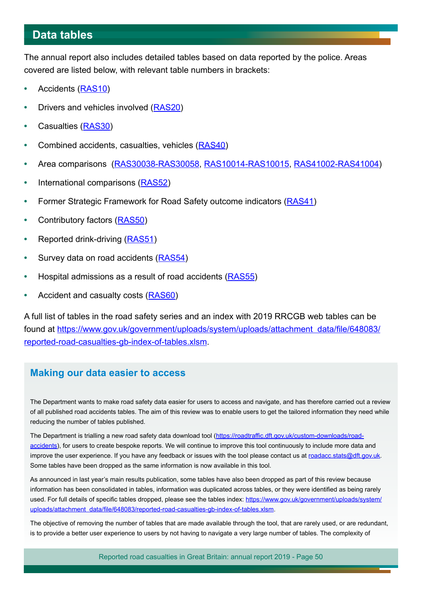## <span id="page-49-0"></span>**Data tables**

The annual report also includes detailed tables based on data reported by the police. Areas covered are listed below, with relevant table numbers in brackets:

- **•** Accidents [\(RAS10](https://www.gov.uk/government/statistical-data-sets/ras10-reported-road-accidents))
- **•** Drivers and vehicles involved ([RAS20](https://www.gov.uk/government/statistical-data-sets/ras20-drivers-riders-and-vehicles-in-reported-road-accidents))
- **•** Casualties [\(RAS30](https://www.gov.uk/government/statistical-data-sets/ras30-reported-casualties-in-road-accidents))
- **•** Combined accidents, casualties, vehicles ([RAS40](https://www.gov.uk/government/statistical-data-sets/ras40-reported-accidents-vehicles-and-casualties))
- **•** Area comparisons [\(RAS30038-RAS30058](https://www.gov.uk/government/statistical-data-sets/ras30-reported-casualties-in-road-accidents), [RAS10014-RAS10015](https://www.gov.uk/government/statistical-data-sets/ras10-reported-road-accidents), [RAS41002-RAS41004](https://www.gov.uk/government/statistical-data-sets/ras41-reported-casualties-rates))
- **•** International comparisons ([RAS52](https://www.gov.uk/government/statistical-data-sets/ras52-international-comparisons))
- **•** Former Strategic Framework for Road Safety outcome indicators ([RAS41](https://www.gov.uk/government/statistical-data-sets/ras41-reported-casualties-rates))
- **•** Contributory factors ([RAS50](https://www.gov.uk/government/statistical-data-sets/ras50-contributory-factors))
- **•** Reported drink-driving [\(RAS51](https://www.gov.uk/government/statistical-data-sets/ras51-reported-drinking-and-driving))
- **•** Survey data on road accidents [\(RAS54](https://www.gov.uk/government/statistical-data-sets/ras54-survey-data))
- **•** Hospital admissions as a result of road accidents [\(RAS55](https://www.gov.uk/government/statistical-data-sets/ras55-hospital-episode-statistics-hes))
- **•** Accident and casualty costs [\(RAS60](https://www.gov.uk/government/statistical-data-sets/ras60-average-value-of-preventing-road-accidents))

A full list of tables in the road safety series and an index with 2019 RRCGB web tables can be found at [https://www.gov.uk/government/uploads/system/uploads/attachment data/fle/648083/](https://www.gov.uk/government/uploads/system/uploads/attachment_data/file/648083/reported-road-casualties-gb-index-of-tables.xlsm) [reported-road-casualties-gb-index-of-tables.xlsm](https://www.gov.uk/government/uploads/system/uploads/attachment_data/file/648083/reported-road-casualties-gb-index-of-tables.xlsm).

## **Making our data easier to access**

The Department wants to make road safety data easier for users to access and navigate, and has therefore carried out a review of all published road accidents tables. The aim of this review was to enable users to get the tailored information they need while reducing the number of tables published.

The Department is trialling a new road safety data download tool (https://roadtraffic.dft.gov.uk/custom-downloads/road[accidents](https://roadtraffic.dft.gov.uk/custom-downloads/road-accidents)), for users to create bespoke reports. We will continue to improve this tool continuously to include more data and improve the user experience. If you have any feedback or issues with the tool please contact us at [roadacc.stats@dft.gov.uk](mailto:roadacc.stats%40dft.gov.uk?subject=). Some tables have been dropped as the same information is now available in this tool.

As announced in last year's main results publication, some tables have also been dropped as part of this review because information has been consolidated in tables, information was duplicated across tables, or they were identifed as being rarely used. For full details of specific tables dropped, please see the tables index: [https://www.gov.uk/government/uploads/system/](https://www.gov.uk/government/uploads/system/uploads/attachment_data/file/648083/reported-road-casualties-gb-index-of-tables.xlsm) [uploads/attachment data/fle/648083/reported-road-casualties-gb-index-of-tables.xlsm](https://www.gov.uk/government/uploads/system/uploads/attachment_data/file/648083/reported-road-casualties-gb-index-of-tables.xlsm).

The objective of removing the number of tables that are made available through the tool, that are rarely used, or are redundant, is to provide a better user experience to users by not having to navigate a very large number of tables. The complexity of